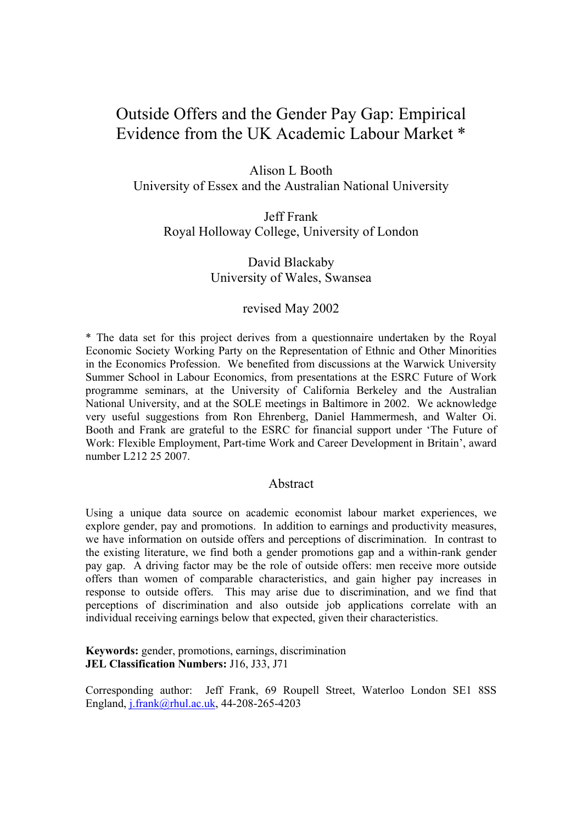# Outside Offers and the Gender Pay Gap: Empirical Evidence from the UK Academic Labour Market \*

Alison L Booth University of Essex and the Australian National University

Jeff Frank Royal Holloway College, University of London

> David Blackaby University of Wales, Swansea

### revised May 2002

\* The data set for this project derives from a questionnaire undertaken by the Royal Economic Society Working Party on the Representation of Ethnic and Other Minorities in the Economics Profession. We benefited from discussions at the Warwick University Summer School in Labour Economics, from presentations at the ESRC Future of Work programme seminars, at the University of California Berkeley and the Australian National University, and at the SOLE meetings in Baltimore in 2002. We acknowledge very useful suggestions from Ron Ehrenberg, Daniel Hammermesh, and Walter Oi. Booth and Frank are grateful to the ESRC for financial support under 'The Future of Work: Flexible Employment, Part-time Work and Career Development in Britain', award number L212 25 2007.

### Abstract

Using a unique data source on academic economist labour market experiences, we explore gender, pay and promotions. In addition to earnings and productivity measures, we have information on outside offers and perceptions of discrimination. In contrast to the existing literature, we find both a gender promotions gap and a within-rank gender pay gap. A driving factor may be the role of outside offers: men receive more outside offers than women of comparable characteristics, and gain higher pay increases in response to outside offers. This may arise due to discrimination, and we find that perceptions of discrimination and also outside job applications correlate with an individual receiving earnings below that expected, given their characteristics.

**Keywords:** gender, promotions, earnings, discrimination **JEL Classification Numbers:** J16, J33, J71

Corresponding author: Jeff Frank, 69 Roupell Street, Waterloo London SE1 8SS England, j.frank@rhul.ac.uk, 44-208-265-4203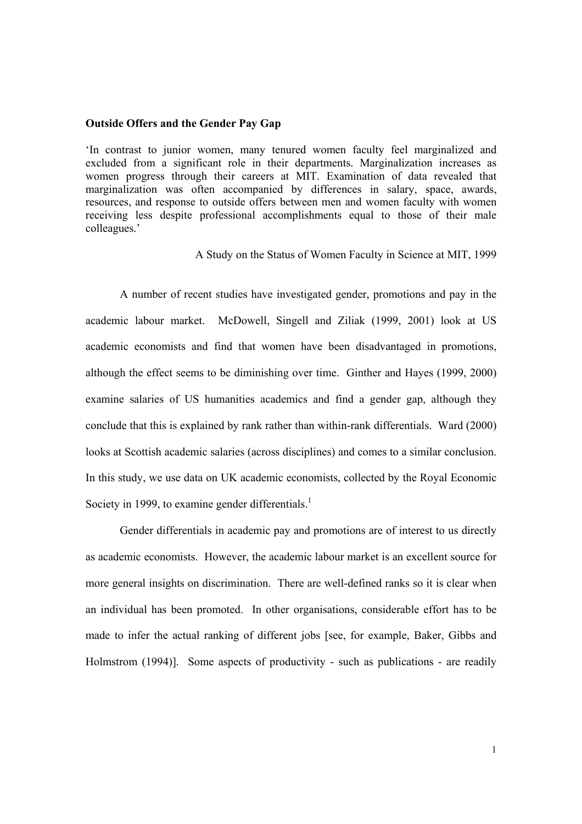#### **Outside Offers and the Gender Pay Gap**

'In contrast to junior women, many tenured women faculty feel marginalized and excluded from a significant role in their departments. Marginalization increases as women progress through their careers at MIT. Examination of data revealed that marginalization was often accompanied by differences in salary, space, awards, resources, and response to outside offers between men and women faculty with women receiving less despite professional accomplishments equal to those of their male colleagues.'

A Study on the Status of Women Faculty in Science at MIT, 1999

 A number of recent studies have investigated gender, promotions and pay in the academic labour market. McDowell, Singell and Ziliak (1999, 2001) look at US academic economists and find that women have been disadvantaged in promotions, although the effect seems to be diminishing over time. Ginther and Hayes (1999, 2000) examine salaries of US humanities academics and find a gender gap, although they conclude that this is explained by rank rather than within-rank differentials. Ward (2000) looks at Scottish academic salaries (across disciplines) and comes to a similar conclusion. In this study, we use data on UK academic economists, collected by the Royal Economic Society in 1999, to examine gender differentials.<sup>1</sup>

 Gender differentials in academic pay and promotions are of interest to us directly as academic economists. However, the academic labour market is an excellent source for more general insights on discrimination. There are well-defined ranks so it is clear when an individual has been promoted. In other organisations, considerable effort has to be made to infer the actual ranking of different jobs [see, for example, Baker, Gibbs and Holmstrom (1994)]. Some aspects of productivity - such as publications - are readily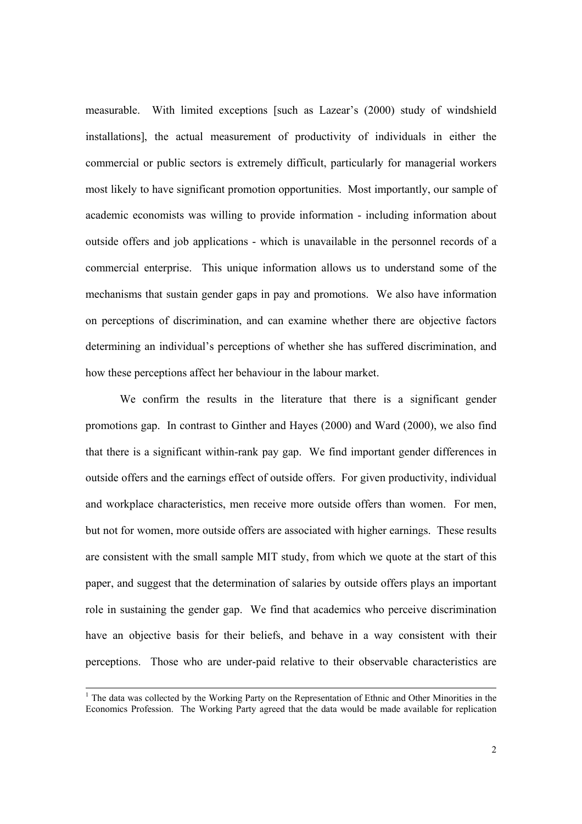measurable. With limited exceptions [such as Lazear's (2000) study of windshield installations], the actual measurement of productivity of individuals in either the commercial or public sectors is extremely difficult, particularly for managerial workers most likely to have significant promotion opportunities. Most importantly, our sample of academic economists was willing to provide information - including information about outside offers and job applications - which is unavailable in the personnel records of a commercial enterprise. This unique information allows us to understand some of the mechanisms that sustain gender gaps in pay and promotions. We also have information on perceptions of discrimination, and can examine whether there are objective factors determining an individual's perceptions of whether she has suffered discrimination, and how these perceptions affect her behaviour in the labour market.

 We confirm the results in the literature that there is a significant gender promotions gap. In contrast to Ginther and Hayes (2000) and Ward (2000), we also find that there is a significant within-rank pay gap. We find important gender differences in outside offers and the earnings effect of outside offers. For given productivity, individual and workplace characteristics, men receive more outside offers than women. For men, but not for women, more outside offers are associated with higher earnings. These results are consistent with the small sample MIT study, from which we quote at the start of this paper, and suggest that the determination of salaries by outside offers plays an important role in sustaining the gender gap. We find that academics who perceive discrimination have an objective basis for their beliefs, and behave in a way consistent with their perceptions. Those who are under-paid relative to their observable characteristics are

 $\frac{1}{1}$ <sup>1</sup> The data was collected by the Working Party on the Representation of Ethnic and Other Minorities in the Economics Profession. The Working Party agreed that the data would be made available for replication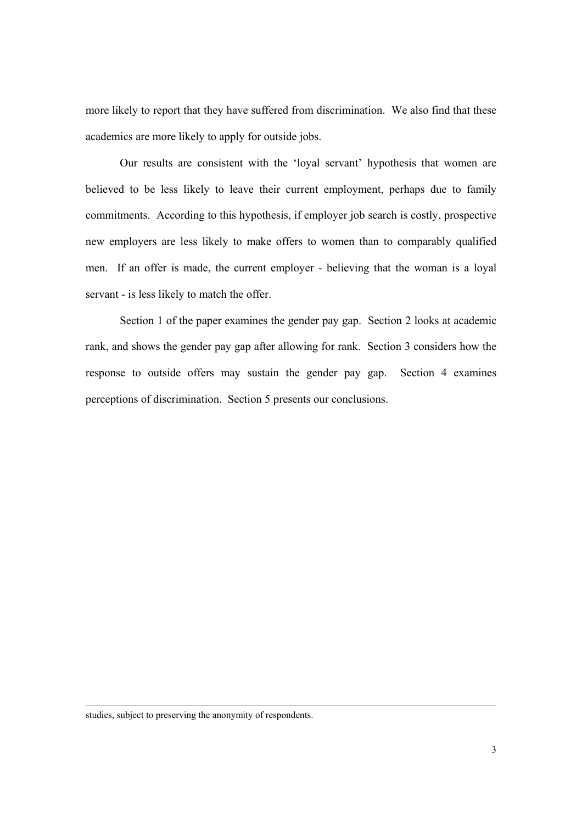more likely to report that they have suffered from discrimination. We also find that these academics are more likely to apply for outside jobs.

 Our results are consistent with the 'loyal servant' hypothesis that women are believed to be less likely to leave their current employment, perhaps due to family commitments. According to this hypothesis, if employer job search is costly, prospective new employers are less likely to make offers to women than to comparably qualified men. If an offer is made, the current employer - believing that the woman is a loyal servant - is less likely to match the offer.

Section 1 of the paper examines the gender pay gap. Section 2 looks at academic rank, and shows the gender pay gap after allowing for rank. Section 3 considers how the response to outside offers may sustain the gender pay gap. Section 4 examines perceptions of discrimination. Section 5 presents our conclusions.

studies, subject to preserving the anonymity of respondents.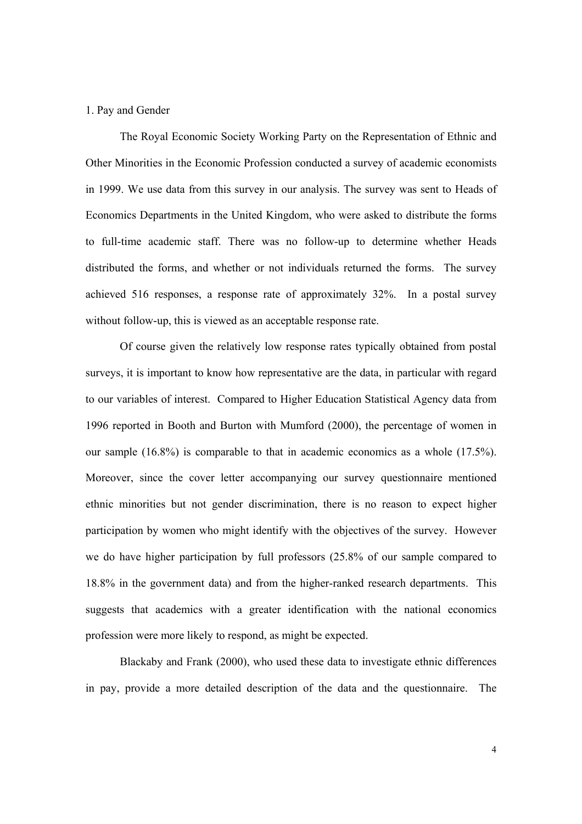#### 1. Pay and Gender

The Royal Economic Society Working Party on the Representation of Ethnic and Other Minorities in the Economic Profession conducted a survey of academic economists in 1999. We use data from this survey in our analysis. The survey was sent to Heads of Economics Departments in the United Kingdom, who were asked to distribute the forms to full-time academic staff. There was no follow-up to determine whether Heads distributed the forms, and whether or not individuals returned the forms. The survey achieved 516 responses, a response rate of approximately 32%. In a postal survey without follow-up, this is viewed as an acceptable response rate.

Of course given the relatively low response rates typically obtained from postal surveys, it is important to know how representative are the data, in particular with regard to our variables of interest. Compared to Higher Education Statistical Agency data from 1996 reported in Booth and Burton with Mumford (2000), the percentage of women in our sample (16.8%) is comparable to that in academic economics as a whole (17.5%). Moreover, since the cover letter accompanying our survey questionnaire mentioned ethnic minorities but not gender discrimination, there is no reason to expect higher participation by women who might identify with the objectives of the survey. However we do have higher participation by full professors (25.8% of our sample compared to 18.8% in the government data) and from the higher-ranked research departments. This suggests that academics with a greater identification with the national economics profession were more likely to respond, as might be expected.

Blackaby and Frank (2000), who used these data to investigate ethnic differences in pay, provide a more detailed description of the data and the questionnaire. The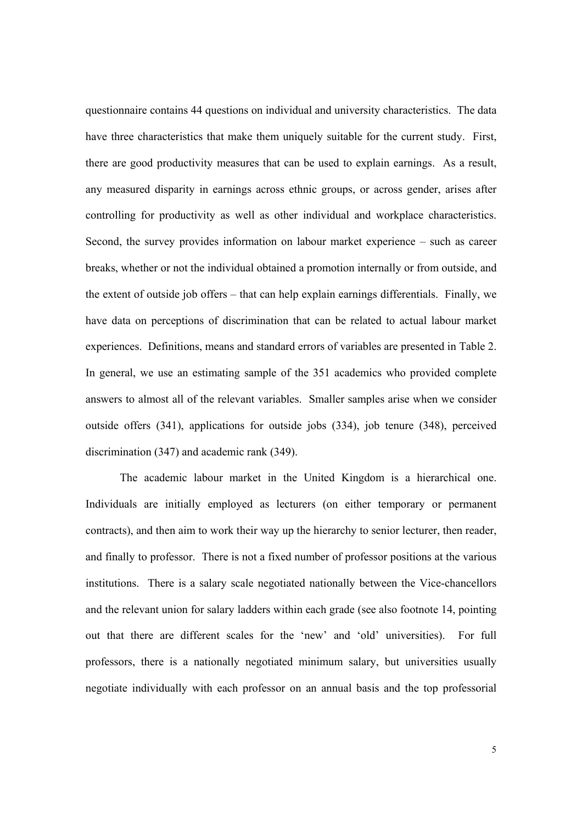questionnaire contains 44 questions on individual and university characteristics. The data have three characteristics that make them uniquely suitable for the current study. First, there are good productivity measures that can be used to explain earnings. As a result, any measured disparity in earnings across ethnic groups, or across gender, arises after controlling for productivity as well as other individual and workplace characteristics. Second, the survey provides information on labour market experience – such as career breaks, whether or not the individual obtained a promotion internally or from outside, and the extent of outside job offers – that can help explain earnings differentials. Finally, we have data on perceptions of discrimination that can be related to actual labour market experiences. Definitions, means and standard errors of variables are presented in Table 2. In general, we use an estimating sample of the 351 academics who provided complete answers to almost all of the relevant variables. Smaller samples arise when we consider outside offers (341), applications for outside jobs (334), job tenure (348), perceived discrimination (347) and academic rank (349).

The academic labour market in the United Kingdom is a hierarchical one. Individuals are initially employed as lecturers (on either temporary or permanent contracts), and then aim to work their way up the hierarchy to senior lecturer, then reader, and finally to professor. There is not a fixed number of professor positions at the various institutions. There is a salary scale negotiated nationally between the Vice-chancellors and the relevant union for salary ladders within each grade (see also footnote 14, pointing out that there are different scales for the 'new' and 'old' universities). For full professors, there is a nationally negotiated minimum salary, but universities usually negotiate individually with each professor on an annual basis and the top professorial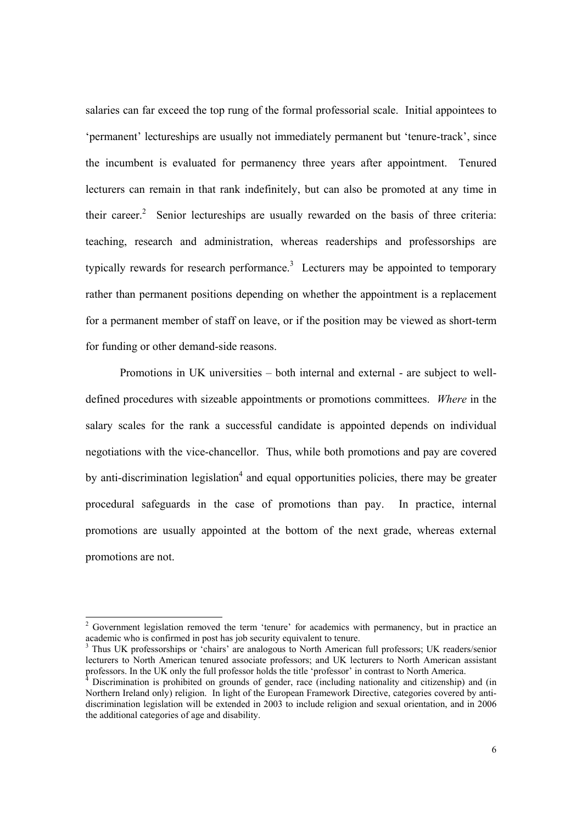salaries can far exceed the top rung of the formal professorial scale. Initial appointees to 'permanent' lectureships are usually not immediately permanent but 'tenure-track', since the incumbent is evaluated for permanency three years after appointment. Tenured lecturers can remain in that rank indefinitely, but can also be promoted at any time in their career.<sup>2</sup> Senior lectureships are usually rewarded on the basis of three criteria: teaching, research and administration, whereas readerships and professorships are typically rewards for research performance.<sup>3</sup> Lecturers may be appointed to temporary rather than permanent positions depending on whether the appointment is a replacement for a permanent member of staff on leave, or if the position may be viewed as short-term for funding or other demand-side reasons.

Promotions in UK universities – both internal and external - are subject to welldefined procedures with sizeable appointments or promotions committees. *Where* in the salary scales for the rank a successful candidate is appointed depends on individual negotiations with the vice-chancellor. Thus, while both promotions and pay are covered by anti-discrimination legislation<sup>4</sup> and equal opportunities policies, there may be greater procedural safeguards in the case of promotions than pay. In practice, internal promotions are usually appointed at the bottom of the next grade, whereas external promotions are not.

<sup>&</sup>lt;sup>2</sup> Government legislation removed the term 'tenure' for academics with permanency, but in practice an academic who is confirmed in post has job security equivalent to tenure.

<sup>&</sup>lt;sup>3</sup> Thus UK professorships or 'chairs' are analogous to North American full professors; UK readers/senior lecturers to North American tenured associate professors; and UK lecturers to North American assistant professors. In the UK only the full professor holds the title 'professor' in contrast to North America.<br><sup>4</sup> Discrimination is prohibited on grounds of gandar, rees (including nationality and eitizenship).

Discrimination is prohibited on grounds of gender, race (including nationality and citizenship) and (in Northern Ireland only) religion. In light of the European Framework Directive, categories covered by antidiscrimination legislation will be extended in 2003 to include religion and sexual orientation, and in 2006 the additional categories of age and disability.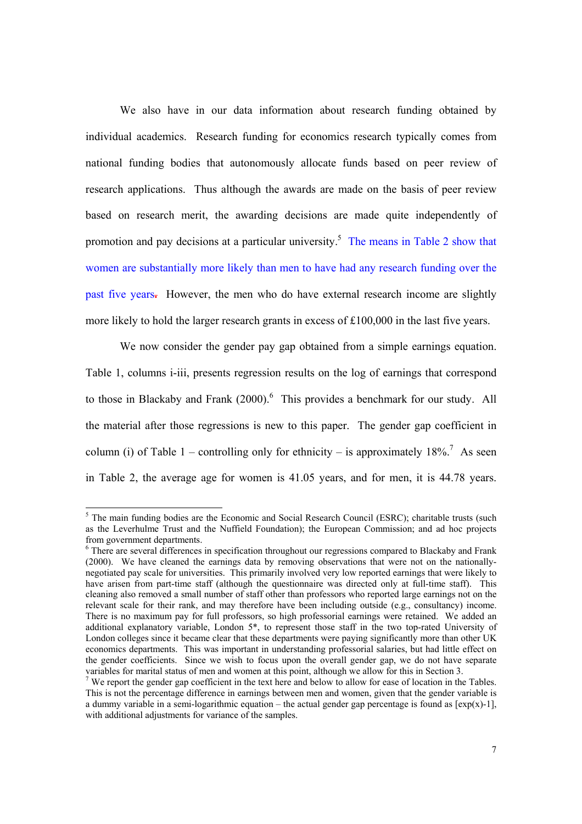We also have in our data information about research funding obtained by individual academics. Research funding for economics research typically comes from national funding bodies that autonomously allocate funds based on peer review of research applications. Thus although the awards are made on the basis of peer review based on research merit, the awarding decisions are made quite independently of promotion and pay decisions at a particular university.<sup>5</sup> The means in Table 2 show that women are substantially more likely than men to have had any research funding over the past five years**.** However, the men who do have external research income are slightly more likely to hold the larger research grants in excess of  $£100,000$  in the last five years.

We now consider the gender pay gap obtained from a simple earnings equation. Table 1, columns i-iii, presents regression results on the log of earnings that correspond to those in Blackaby and Frank  $(2000)$ <sup>6</sup> This provides a benchmark for our study. All the material after those regressions is new to this paper. The gender gap coefficient in column (i) of Table 1 – controlling only for ethnicity – is approximately 18%.<sup>7</sup> As seen in Table 2, the average age for women is 41.05 years, and for men, it is 44.78 years.

<sup>&</sup>lt;sup>5</sup> The main funding bodies are the Economic and Social Research Council (ESRC); charitable trusts (such as the Leverhulme Trust and the Nuffield Foundation); the European Commission; and ad hoc projects from government departments.

<sup>&</sup>lt;sup>6</sup> There are several differences in specification throughout our regressions compared to Blackaby and Frank (2000). We have cleaned the earnings data by removing observations that were not on the nationallynegotiated pay scale for universities. This primarily involved very low reported earnings that were likely to have arisen from part-time staff (although the questionnaire was directed only at full-time staff). This cleaning also removed a small number of staff other than professors who reported large earnings not on the relevant scale for their rank, and may therefore have been including outside (e.g., consultancy) income. There is no maximum pay for full professors, so high professorial earnings were retained. We added an additional explanatory variable, London 5\*, to represent those staff in the two top-rated University of London colleges since it became clear that these departments were paying significantly more than other UK economics departments. This was important in understanding professorial salaries, but had little effect on the gender coefficients. Since we wish to focus upon the overall gender gap, we do not have separate variables for marital status of men and women at this point, although we allow for this in Section 3.

<sup>&</sup>lt;sup>7</sup> We report the gender gap coefficient in the text here and below to allow for ease of location in the Tables. This is not the percentage difference in earnings between men and women, given that the gender variable is a dummy variable in a semi-logarithmic equation – the actual gender gap percentage is found as  $[exp(x)-1]$ , with additional adjustments for variance of the samples.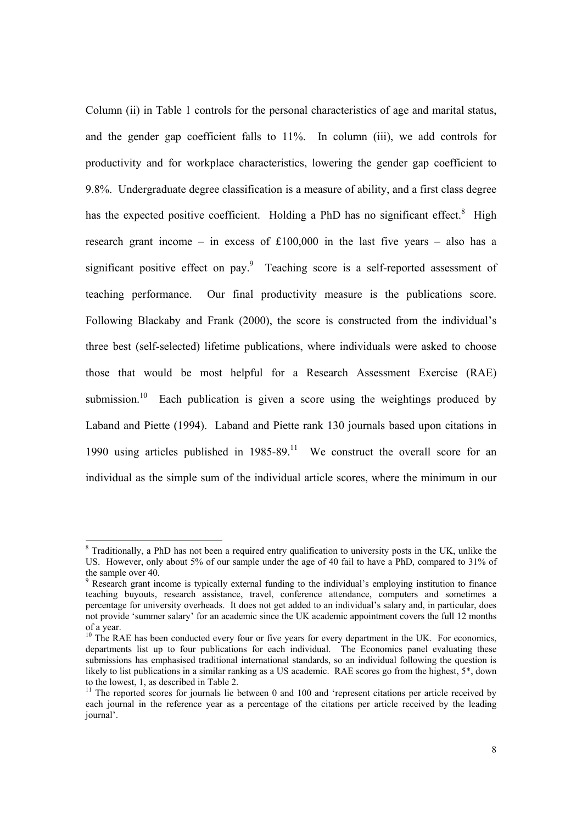Column (ii) in Table 1 controls for the personal characteristics of age and marital status, and the gender gap coefficient falls to 11%. In column (iii), we add controls for productivity and for workplace characteristics, lowering the gender gap coefficient to 9.8%. Undergraduate degree classification is a measure of ability, and a first class degree has the expected positive coefficient. Holding a PhD has no significant effect.<sup>8</sup> High research grant income – in excess of £100,000 in the last five years – also has a significant positive effect on pay.<sup>9</sup> Teaching score is a self-reported assessment of teaching performance. Our final productivity measure is the publications score. Following Blackaby and Frank (2000), the score is constructed from the individual's three best (self-selected) lifetime publications, where individuals were asked to choose those that would be most helpful for a Research Assessment Exercise (RAE) submission.<sup>10</sup> Each publication is given a score using the weightings produced by Laband and Piette (1994). Laband and Piette rank 130 journals based upon citations in 1990 using articles published in 1985-89.<sup>11</sup> We construct the overall score for an individual as the simple sum of the individual article scores, where the minimum in our

<sup>&</sup>lt;sup>8</sup> Traditionally, a PhD has not been a required entry qualification to university posts in the UK, unlike the US. However, only about 5% of our sample under the age of 40 fail to have a PhD, compared to 31% of the sample over 40.

<sup>&</sup>lt;sup>9</sup> Research grant income is typically external funding to the individual's employing institution to finance teaching buyouts, research assistance, travel, conference attendance, computers and sometimes a percentage for university overheads. It does not get added to an individual's salary and, in particular, does not provide 'summer salary' for an academic since the UK academic appointment covers the full 12 months of a year.

<sup>&</sup>lt;sup>10</sup> The RAE has been conducted every four or five years for every department in the UK. For economics, departments list up to four publications for each individual. The Economics panel evaluating these submissions has emphasised traditional international standards, so an individual following the question is likely to list publications in a similar ranking as a US academic. RAE scores go from the highest, 5\*, down to the lowest, 1, as described in Table 2.

 $11$  The reported scores for journals lie between 0 and 100 and 'represent citations per article received by each journal in the reference year as a percentage of the citations per article received by the leading journal'.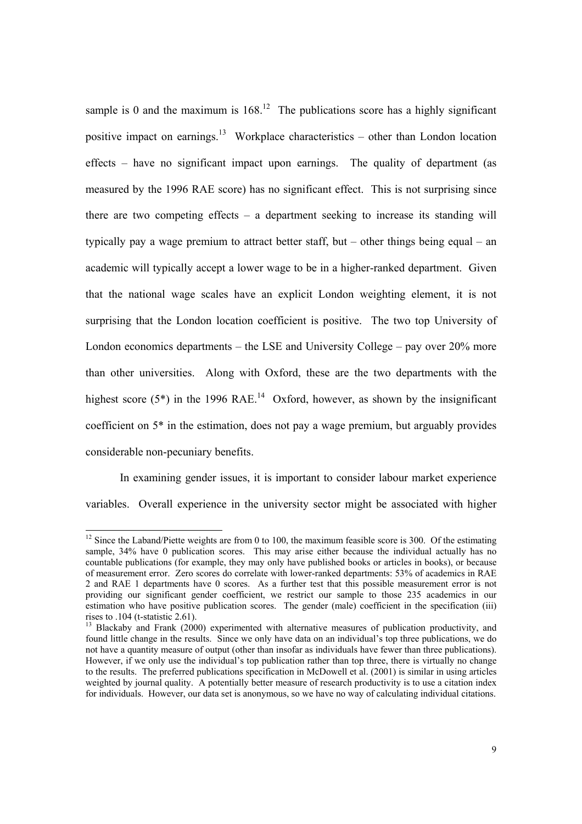sample is 0 and the maximum is  $168<sup>12</sup>$  The publications score has a highly significant positive impact on earnings.<sup>13</sup> Workplace characteristics – other than London location effects – have no significant impact upon earnings. The quality of department (as measured by the 1996 RAE score) has no significant effect. This is not surprising since there are two competing effects – a department seeking to increase its standing will typically pay a wage premium to attract better staff, but – other things being equal – an academic will typically accept a lower wage to be in a higher-ranked department. Given that the national wage scales have an explicit London weighting element, it is not surprising that the London location coefficient is positive. The two top University of London economics departments – the LSE and University College – pay over 20% more than other universities. Along with Oxford, these are the two departments with the highest score  $(5^*)$  in the 1996 RAE.<sup>14</sup> Oxford, however, as shown by the insignificant coefficient on 5\* in the estimation, does not pay a wage premium, but arguably provides considerable non-pecuniary benefits.

 In examining gender issues, it is important to consider labour market experience variables. Overall experience in the university sector might be associated with higher

 $12$  Since the Laband/Piette weights are from 0 to 100, the maximum feasible score is 300. Of the estimating sample, 34% have 0 publication scores. This may arise either because the individual actually has no countable publications (for example, they may only have published books or articles in books), or because of measurement error. Zero scores do correlate with lower-ranked departments: 53% of academics in RAE 2 and RAE 1 departments have 0 scores. As a further test that this possible measurement error is not providing our significant gender coefficient, we restrict our sample to those 235 academics in our estimation who have positive publication scores. The gender (male) coefficient in the specification (iii) rises to .104 (t-statistic 2.61).

<sup>&</sup>lt;sup>13</sup> Blackaby and Frank (2000) experimented with alternative measures of publication productivity, and found little change in the results. Since we only have data on an individual's top three publications, we do not have a quantity measure of output (other than insofar as individuals have fewer than three publications). However, if we only use the individual's top publication rather than top three, there is virtually no change to the results. The preferred publications specification in McDowell et al. (2001) is similar in using articles weighted by journal quality. A potentially better measure of research productivity is to use a citation index for individuals. However, our data set is anonymous, so we have no way of calculating individual citations.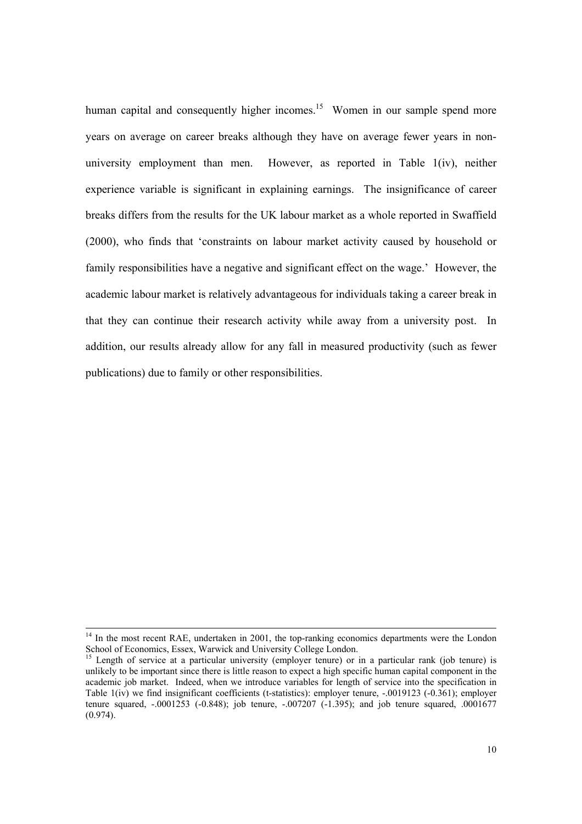human capital and consequently higher incomes.<sup>15</sup> Women in our sample spend more years on average on career breaks although they have on average fewer years in nonuniversity employment than men. However, as reported in Table 1(iv), neither experience variable is significant in explaining earnings. The insignificance of career breaks differs from the results for the UK labour market as a whole reported in Swaffield (2000), who finds that 'constraints on labour market activity caused by household or family responsibilities have a negative and significant effect on the wage.' However, the academic labour market is relatively advantageous for individuals taking a career break in that they can continue their research activity while away from a university post. In addition, our results already allow for any fall in measured productivity (such as fewer publications) due to family or other responsibilities.

<sup>&</sup>lt;sup>14</sup> In the most recent RAE, undertaken in 2001, the top-ranking economics departments were the London School of Economics, Essex, Warwick and University College London.

<sup>&</sup>lt;sup>15</sup> Length of service at a particular university (employer tenure) or in a particular rank (job tenure) is unlikely to be important since there is little reason to expect a high specific human capital component in the academic job market. Indeed, when we introduce variables for length of service into the specification in Table 1(iv) we find insignificant coefficients (t-statistics): employer tenure, -.0019123 (-0.361); employer tenure squared,  $-.0001253$  ( $-.0.848$ ); job tenure,  $-.007207$  ( $-.1.395$ ); and job tenure squared, .0001677  $(0.974)$ .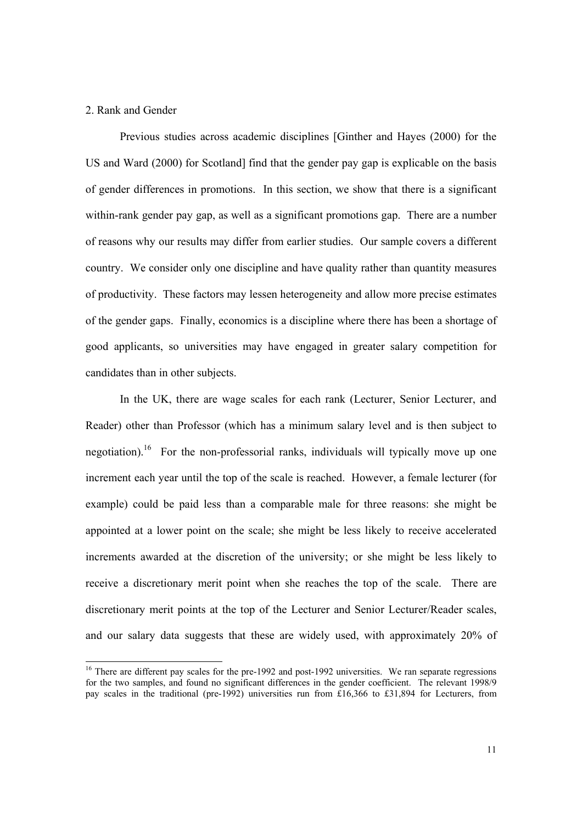#### 2. Rank and Gender

 $\overline{a}$ 

 Previous studies across academic disciplines [Ginther and Hayes (2000) for the US and Ward (2000) for Scotland] find that the gender pay gap is explicable on the basis of gender differences in promotions. In this section, we show that there is a significant within-rank gender pay gap, as well as a significant promotions gap. There are a number of reasons why our results may differ from earlier studies. Our sample covers a different country. We consider only one discipline and have quality rather than quantity measures of productivity. These factors may lessen heterogeneity and allow more precise estimates of the gender gaps. Finally, economics is a discipline where there has been a shortage of good applicants, so universities may have engaged in greater salary competition for candidates than in other subjects.

In the UK, there are wage scales for each rank (Lecturer, Senior Lecturer, and Reader) other than Professor (which has a minimum salary level and is then subject to negotiation).<sup>16</sup> For the non-professorial ranks, individuals will typically move up one increment each year until the top of the scale is reached. However, a female lecturer (for example) could be paid less than a comparable male for three reasons: she might be appointed at a lower point on the scale; she might be less likely to receive accelerated increments awarded at the discretion of the university; or she might be less likely to receive a discretionary merit point when she reaches the top of the scale. There are discretionary merit points at the top of the Lecturer and Senior Lecturer/Reader scales, and our salary data suggests that these are widely used, with approximately 20% of

<sup>&</sup>lt;sup>16</sup> There are different pay scales for the pre-1992 and post-1992 universities. We ran separate regressions for the two samples, and found no significant differences in the gender coefficient. The relevant 1998/9 pay scales in the traditional (pre-1992) universities run from £16,366 to £31,894 for Lecturers, from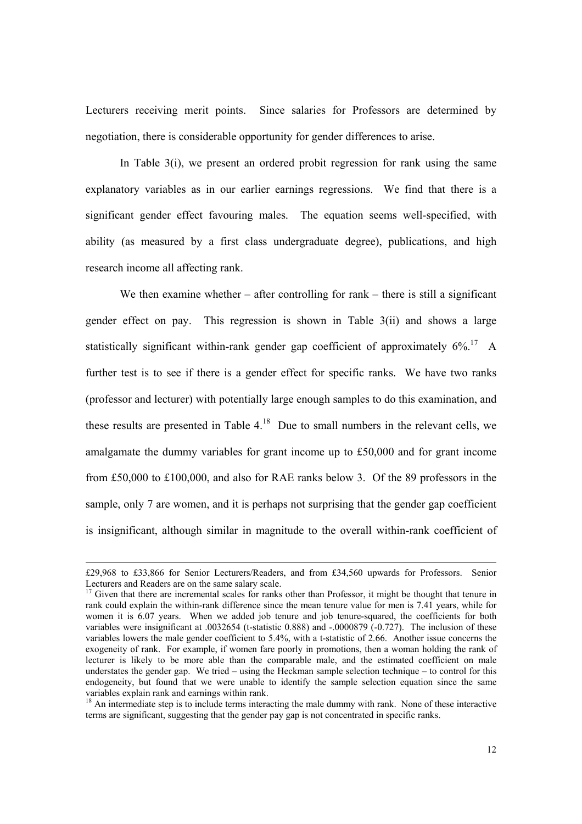Lecturers receiving merit points. Since salaries for Professors are determined by negotiation, there is considerable opportunity for gender differences to arise.

 In Table 3(i), we present an ordered probit regression for rank using the same explanatory variables as in our earlier earnings regressions. We find that there is a significant gender effect favouring males. The equation seems well-specified, with ability (as measured by a first class undergraduate degree), publications, and high research income all affecting rank.

We then examine whether  $-$  after controlling for rank  $-$  there is still a significant gender effect on pay. This regression is shown in Table 3(ii) and shows a large statistically significant within-rank gender gap coefficient of approximately  $6\%$ <sup>17</sup> A further test is to see if there is a gender effect for specific ranks. We have two ranks (professor and lecturer) with potentially large enough samples to do this examination, and these results are presented in Table  $4<sup>18</sup>$  Due to small numbers in the relevant cells, we amalgamate the dummy variables for grant income up to £50,000 and for grant income from £50,000 to £100,000, and also for RAE ranks below 3. Of the 89 professors in the sample, only 7 are women, and it is perhaps not surprising that the gender gap coefficient is insignificant, although similar in magnitude to the overall within-rank coefficient of

<sup>£29,968</sup> to £33,866 for Senior Lecturers/Readers, and from £34,560 upwards for Professors. Senior Lecturers and Readers are on the same salary scale.

<sup>&</sup>lt;sup>17</sup> Given that there are incremental scales for ranks other than Professor, it might be thought that tenure in rank could explain the within-rank difference since the mean tenure value for men is 7.41 years, while for women it is 6.07 years. When we added job tenure and job tenure-squared, the coefficients for both variables were insignificant at .0032654 (t-statistic 0.888) and -.0000879 (-0.727). The inclusion of these variables lowers the male gender coefficient to 5.4%, with a t-statistic of 2.66. Another issue concerns the exogeneity of rank. For example, if women fare poorly in promotions, then a woman holding the rank of lecturer is likely to be more able than the comparable male, and the estimated coefficient on male understates the gender gap. We tried – using the Heckman sample selection technique – to control for this endogeneity, but found that we were unable to identify the sample selection equation since the same variables explain rank and earnings within rank.

<sup>&</sup>lt;sup>18</sup> An intermediate step is to include terms interacting the male dummy with rank. None of these interactive terms are significant, suggesting that the gender pay gap is not concentrated in specific ranks.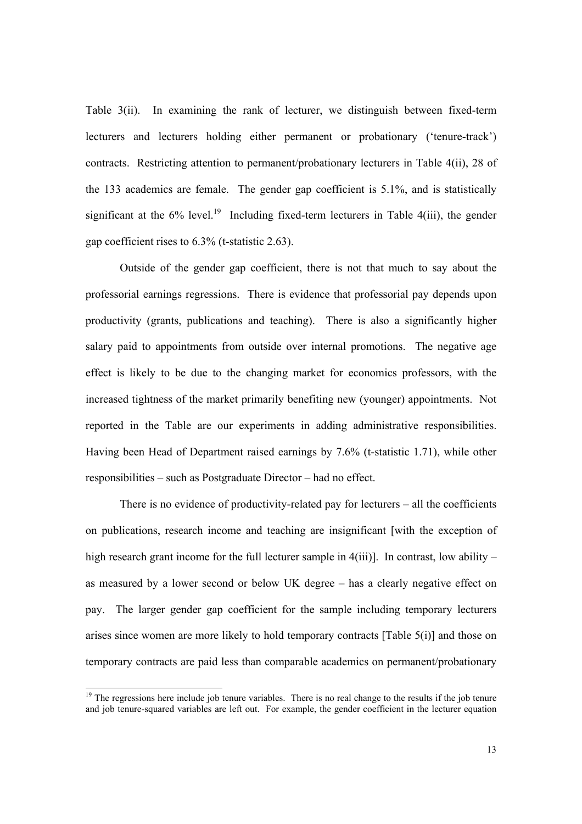Table 3(ii). In examining the rank of lecturer, we distinguish between fixed-term lecturers and lecturers holding either permanent or probationary ('tenure-track') contracts. Restricting attention to permanent/probationary lecturers in Table 4(ii), 28 of the 133 academics are female. The gender gap coefficient is 5.1%, and is statistically significant at the  $6\%$  level.<sup>19</sup> Including fixed-term lecturers in Table 4(iii), the gender gap coefficient rises to 6.3% (t-statistic 2.63).

 Outside of the gender gap coefficient, there is not that much to say about the professorial earnings regressions. There is evidence that professorial pay depends upon productivity (grants, publications and teaching). There is also a significantly higher salary paid to appointments from outside over internal promotions. The negative age effect is likely to be due to the changing market for economics professors, with the increased tightness of the market primarily benefiting new (younger) appointments. Not reported in the Table are our experiments in adding administrative responsibilities. Having been Head of Department raised earnings by 7.6% (t-statistic 1.71), while other responsibilities – such as Postgraduate Director – had no effect.

There is no evidence of productivity-related pay for lecturers – all the coefficients on publications, research income and teaching are insignificant [with the exception of high research grant income for the full lecturer sample in  $4(iii)$ ]. In contrast, low ability – as measured by a lower second or below UK degree – has a clearly negative effect on pay. The larger gender gap coefficient for the sample including temporary lecturers arises since women are more likely to hold temporary contracts [Table 5(i)] and those on temporary contracts are paid less than comparable academics on permanent/probationary

 $19$  The regressions here include job tenure variables. There is no real change to the results if the job tenure and job tenure-squared variables are left out. For example, the gender coefficient in the lecturer equation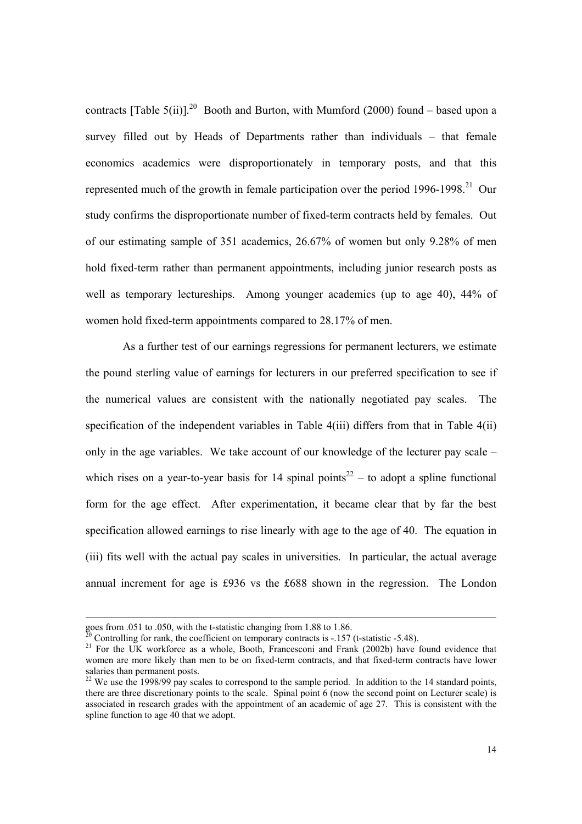contracts [Table 5(ii)].<sup>20</sup> Booth and Burton, with Mumford (2000) found – based upon a survey filled out by Heads of Departments rather than individuals – that female economics academics were disproportionately in temporary posts, and that this represented much of the growth in female participation over the period  $1996-1998$ <sup>21</sup> Our study confirms the disproportionate number of fixed-term contracts held by females. Out of our estimating sample of 351 academics, 26.67% of women but only 9.28% of men hold fixed-term rather than permanent appointments, including junior research posts as well as temporary lectureships. Among younger academics (up to age 40), 44% of women hold fixed-term appointments compared to 28.17% of men.

 As a further test of our earnings regressions for permanent lecturers, we estimate the pound sterling value of earnings for lecturers in our preferred specification to see if the numerical values are consistent with the nationally negotiated pay scales. The specification of the independent variables in Table 4(iii) differs from that in Table 4(ii) only in the age variables. We take account of our knowledge of the lecturer pay scale – which rises on a year-to-year basis for 14 spinal points<sup>22</sup> – to adopt a spline functional form for the age effect. After experimentation, it became clear that by far the best specification allowed earnings to rise linearly with age to the age of 40. The equation in (iii) fits well with the actual pay scales in universities. In particular, the actual average annual increment for age is £936 vs the £688 shown in the regression. The London

l

goes from .051 to .050, with the t-statistic changing from 1.88 to 1.86.

 $^{20}$  Controlling for rank, the coefficient on temporary contracts is -.157 (t-statistic -5.48).

<sup>&</sup>lt;sup>21</sup> For the UK workforce as a whole, Booth, Francesconi and Frank (2002b) have found evidence that women are more likely than men to be on fixed-term contracts, and that fixed-term contracts have lower salaries than permanent posts.

 $^{22}$  We use the 1998/99 pay scales to correspond to the sample period. In addition to the 14 standard points, there are three discretionary points to the scale. Spinal point  $\vec{6}$  (now the second point on Lecturer scale) is associated in research grades with the appointment of an academic of age 27. This is consistent with the spline function to age 40 that we adopt.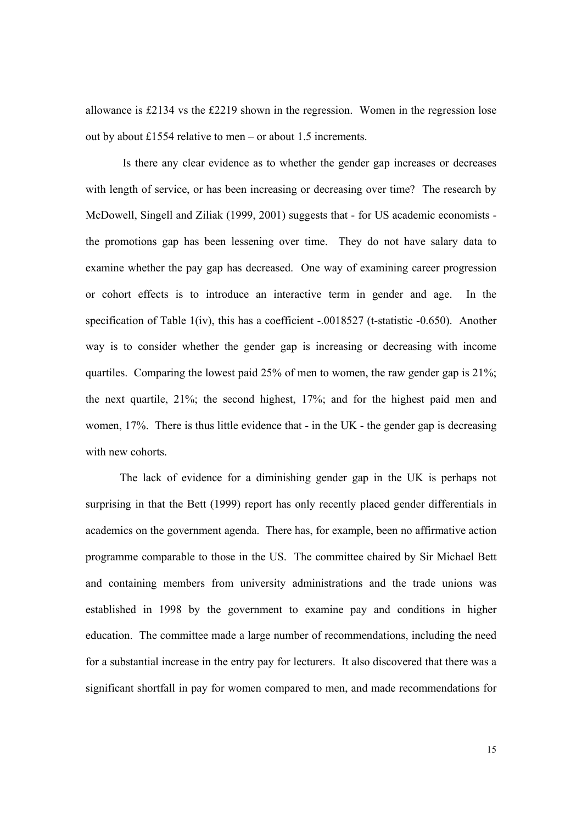allowance is £2134 vs the £2219 shown in the regression. Women in the regression lose out by about £1554 relative to men – or about 1.5 increments.

 Is there any clear evidence as to whether the gender gap increases or decreases with length of service, or has been increasing or decreasing over time? The research by McDowell, Singell and Ziliak (1999, 2001) suggests that - for US academic economists the promotions gap has been lessening over time. They do not have salary data to examine whether the pay gap has decreased. One way of examining career progression or cohort effects is to introduce an interactive term in gender and age. In the specification of Table  $1(iv)$ , this has a coefficient  $-.0018527$  (t-statistic  $-.0.650$ ). Another way is to consider whether the gender gap is increasing or decreasing with income quartiles. Comparing the lowest paid 25% of men to women, the raw gender gap is 21%; the next quartile, 21%; the second highest, 17%; and for the highest paid men and women, 17%. There is thus little evidence that - in the UK - the gender gap is decreasing with new cohorts.

The lack of evidence for a diminishing gender gap in the UK is perhaps not surprising in that the Bett (1999) report has only recently placed gender differentials in academics on the government agenda. There has, for example, been no affirmative action programme comparable to those in the US. The committee chaired by Sir Michael Bett and containing members from university administrations and the trade unions was established in 1998 by the government to examine pay and conditions in higher education. The committee made a large number of recommendations, including the need for a substantial increase in the entry pay for lecturers. It also discovered that there was a significant shortfall in pay for women compared to men, and made recommendations for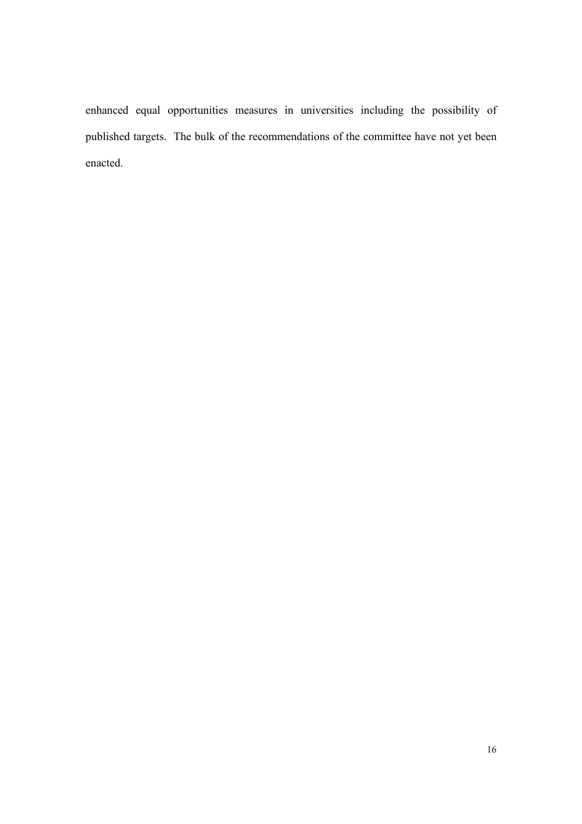enhanced equal opportunities measures in universities including the possibility of published targets. The bulk of the recommendations of the committee have not yet been enacted.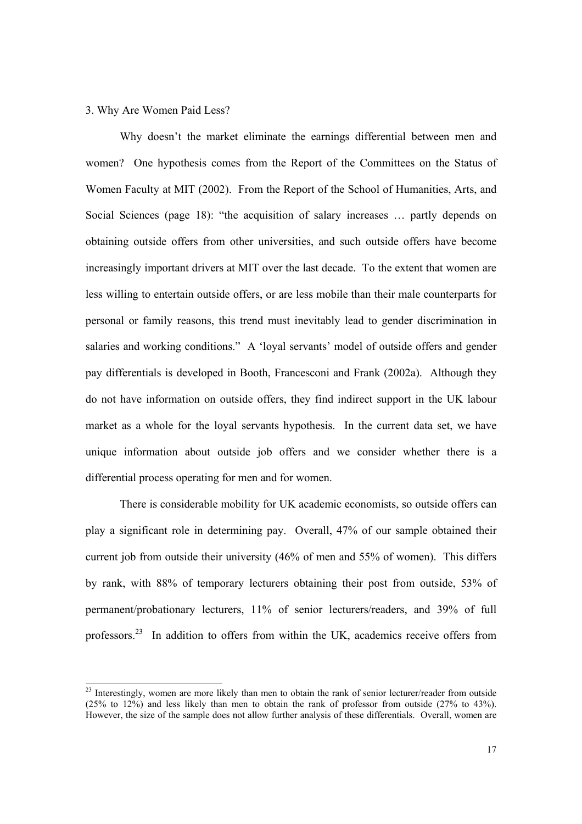#### 3. Why Are Women Paid Less?

l

Why doesn't the market eliminate the earnings differential between men and women? One hypothesis comes from the Report of the Committees on the Status of Women Faculty at MIT (2002). From the Report of the School of Humanities, Arts, and Social Sciences (page 18): "the acquisition of salary increases … partly depends on obtaining outside offers from other universities, and such outside offers have become increasingly important drivers at MIT over the last decade. To the extent that women are less willing to entertain outside offers, or are less mobile than their male counterparts for personal or family reasons, this trend must inevitably lead to gender discrimination in salaries and working conditions." A 'loyal servants' model of outside offers and gender pay differentials is developed in Booth, Francesconi and Frank (2002a). Although they do not have information on outside offers, they find indirect support in the UK labour market as a whole for the loyal servants hypothesis. In the current data set, we have unique information about outside job offers and we consider whether there is a differential process operating for men and for women.

There is considerable mobility for UK academic economists, so outside offers can play a significant role in determining pay. Overall, 47% of our sample obtained their current job from outside their university (46% of men and 55% of women). This differs by rank, with 88% of temporary lecturers obtaining their post from outside, 53% of permanent/probationary lecturers, 11% of senior lecturers/readers, and 39% of full professors.<sup>23</sup> In addition to offers from within the UK, academics receive offers from

 $^{23}$  Interestingly, women are more likely than men to obtain the rank of senior lecturer/reader from outside (25% to 12%) and less likely than men to obtain the rank of professor from outside (27% to 43%). However, the size of the sample does not allow further analysis of these differentials. Overall, women are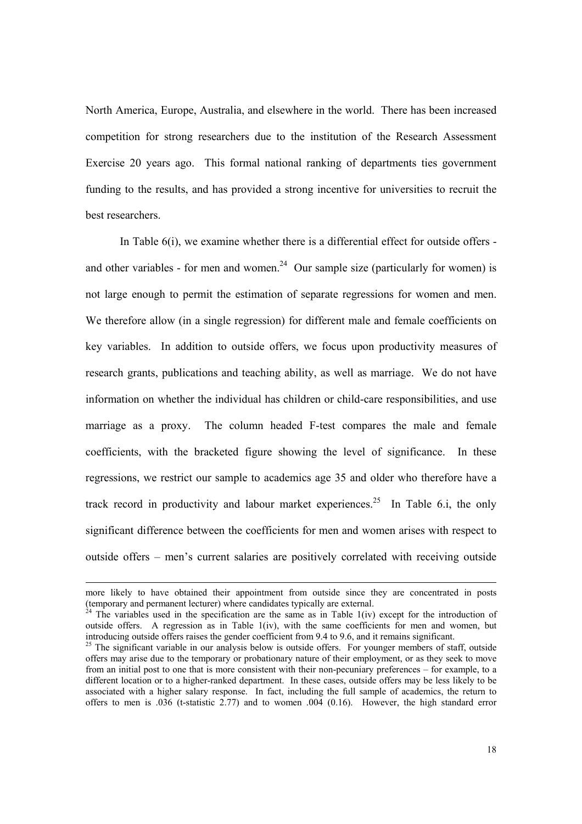North America, Europe, Australia, and elsewhere in the world. There has been increased competition for strong researchers due to the institution of the Research Assessment Exercise 20 years ago. This formal national ranking of departments ties government funding to the results, and has provided a strong incentive for universities to recruit the best researchers.

In Table 6(i), we examine whether there is a differential effect for outside offers and other variables - for men and women.<sup>24</sup> Our sample size (particularly for women) is not large enough to permit the estimation of separate regressions for women and men. We therefore allow (in a single regression) for different male and female coefficients on key variables. In addition to outside offers, we focus upon productivity measures of research grants, publications and teaching ability, as well as marriage. We do not have information on whether the individual has children or child-care responsibilities, and use marriage as a proxy. The column headed F-test compares the male and female coefficients, with the bracketed figure showing the level of significance. In these regressions, we restrict our sample to academics age 35 and older who therefore have a track record in productivity and labour market experiences.<sup>25</sup> In Table 6.i, the only significant difference between the coefficients for men and women arises with respect to outside offers – men's current salaries are positively correlated with receiving outside

more likely to have obtained their appointment from outside since they are concentrated in posts (temporary and permanent lecturer) where candidates typically are external.

 $^{24}$  The variables used in the specification are the same as in Table 1(iv) except for the introduction of outside offers. A regression as in Table 1(iv), with the same coefficients for men and women, but introducing outside offers raises the gender coefficient from 9.4 to 9.6, and it remains significant.

<sup>&</sup>lt;sup>25</sup> The significant variable in our analysis below is outside offers. For younger members of staff, outside offers may arise due to the temporary or probationary nature of their employment, or as they seek to move from an initial post to one that is more consistent with their non-pecuniary preferences – for example, to a different location or to a higher-ranked department. In these cases, outside offers may be less likely to be associated with a higher salary response. In fact, including the full sample of academics, the return to offers to men is  $.036$  (t-statistic 2.77) and to women  $.004$  (0.16). However, the high standard error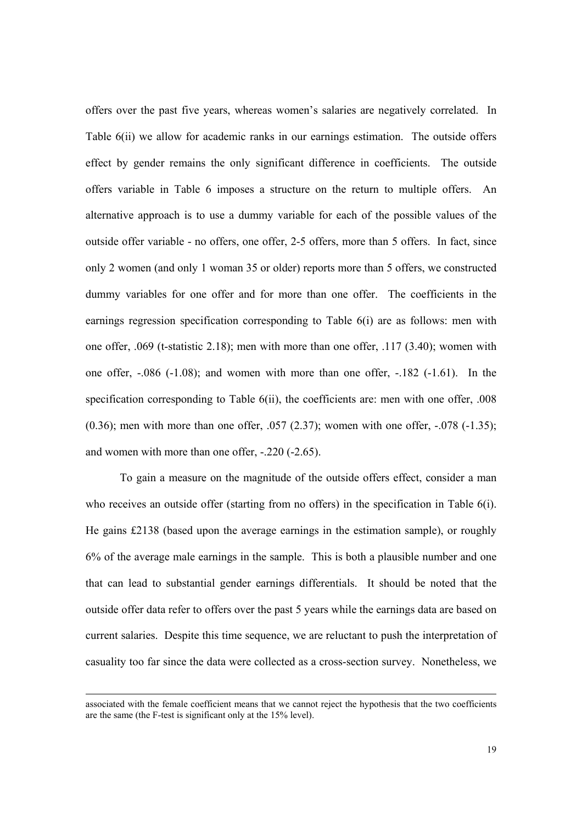offers over the past five years, whereas women's salaries are negatively correlated. In Table 6(ii) we allow for academic ranks in our earnings estimation. The outside offers effect by gender remains the only significant difference in coefficients. The outside offers variable in Table 6 imposes a structure on the return to multiple offers. An alternative approach is to use a dummy variable for each of the possible values of the outside offer variable - no offers, one offer, 2-5 offers, more than 5 offers. In fact, since only 2 women (and only 1 woman 35 or older) reports more than 5 offers, we constructed dummy variables for one offer and for more than one offer. The coefficients in the earnings regression specification corresponding to Table 6(i) are as follows: men with one offer, .069 (t-statistic 2.18); men with more than one offer, .117 (3.40); women with one offer, -.086 (-1.08); and women with more than one offer, -.182 (-1.61). In the specification corresponding to Table 6(ii), the coefficients are: men with one offer, .008  $(0.36)$ ; men with more than one offer,  $.057$   $(2.37)$ ; women with one offer,  $-.078$   $(-1.35)$ ; and women with more than one offer, -.220 (-2.65).

To gain a measure on the magnitude of the outside offers effect, consider a man who receives an outside offer (starting from no offers) in the specification in Table 6(i). He gains £2138 (based upon the average earnings in the estimation sample), or roughly 6% of the average male earnings in the sample. This is both a plausible number and one that can lead to substantial gender earnings differentials. It should be noted that the outside offer data refer to offers over the past 5 years while the earnings data are based on current salaries. Despite this time sequence, we are reluctant to push the interpretation of casuality too far since the data were collected as a cross-section survey. Nonetheless, we

associated with the female coefficient means that we cannot reject the hypothesis that the two coefficients are the same (the F-test is significant only at the 15% level).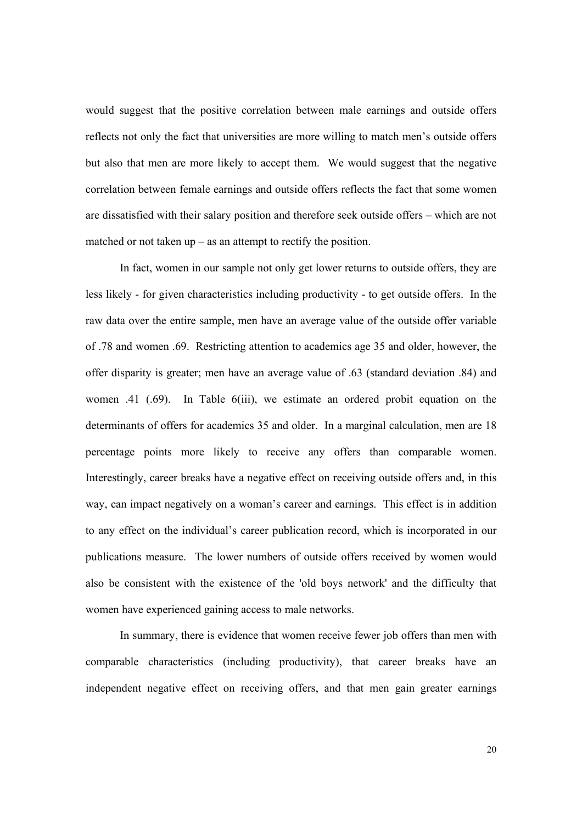would suggest that the positive correlation between male earnings and outside offers reflects not only the fact that universities are more willing to match men's outside offers but also that men are more likely to accept them. We would suggest that the negative correlation between female earnings and outside offers reflects the fact that some women are dissatisfied with their salary position and therefore seek outside offers – which are not matched or not taken  $up - as$  an attempt to rectify the position.

In fact, women in our sample not only get lower returns to outside offers, they are less likely - for given characteristics including productivity - to get outside offers. In the raw data over the entire sample, men have an average value of the outside offer variable of .78 and women .69. Restricting attention to academics age 35 and older, however, the offer disparity is greater; men have an average value of .63 (standard deviation .84) and women .41 (.69). In Table 6(iii), we estimate an ordered probit equation on the determinants of offers for academics 35 and older. In a marginal calculation, men are 18 percentage points more likely to receive any offers than comparable women. Interestingly, career breaks have a negative effect on receiving outside offers and, in this way, can impact negatively on a woman's career and earnings. This effect is in addition to any effect on the individual's career publication record, which is incorporated in our publications measure. The lower numbers of outside offers received by women would also be consistent with the existence of the 'old boys network' and the difficulty that women have experienced gaining access to male networks.

In summary, there is evidence that women receive fewer job offers than men with comparable characteristics (including productivity), that career breaks have an independent negative effect on receiving offers, and that men gain greater earnings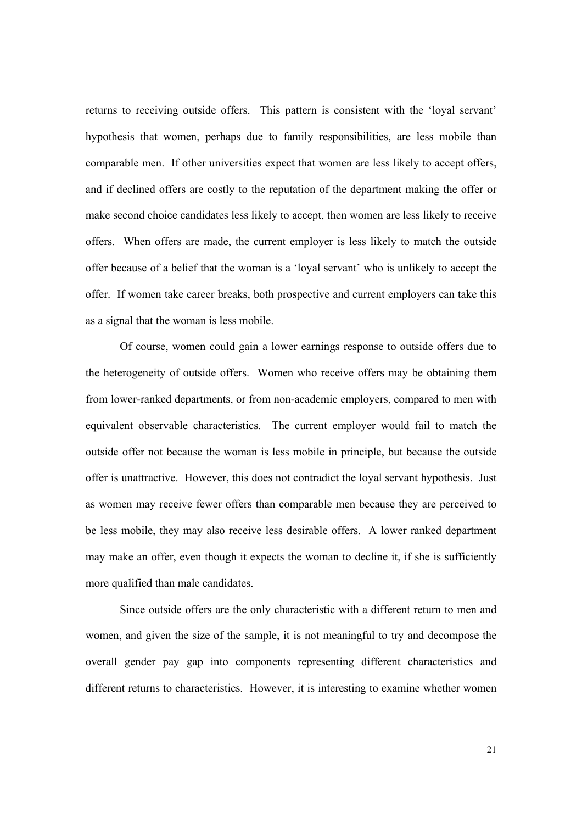returns to receiving outside offers. This pattern is consistent with the 'loyal servant' hypothesis that women, perhaps due to family responsibilities, are less mobile than comparable men. If other universities expect that women are less likely to accept offers, and if declined offers are costly to the reputation of the department making the offer or make second choice candidates less likely to accept, then women are less likely to receive offers. When offers are made, the current employer is less likely to match the outside offer because of a belief that the woman is a 'loyal servant' who is unlikely to accept the offer. If women take career breaks, both prospective and current employers can take this as a signal that the woman is less mobile.

Of course, women could gain a lower earnings response to outside offers due to the heterogeneity of outside offers. Women who receive offers may be obtaining them from lower-ranked departments, or from non-academic employers, compared to men with equivalent observable characteristics. The current employer would fail to match the outside offer not because the woman is less mobile in principle, but because the outside offer is unattractive. However, this does not contradict the loyal servant hypothesis. Just as women may receive fewer offers than comparable men because they are perceived to be less mobile, they may also receive less desirable offers. A lower ranked department may make an offer, even though it expects the woman to decline it, if she is sufficiently more qualified than male candidates.

Since outside offers are the only characteristic with a different return to men and women, and given the size of the sample, it is not meaningful to try and decompose the overall gender pay gap into components representing different characteristics and different returns to characteristics. However, it is interesting to examine whether women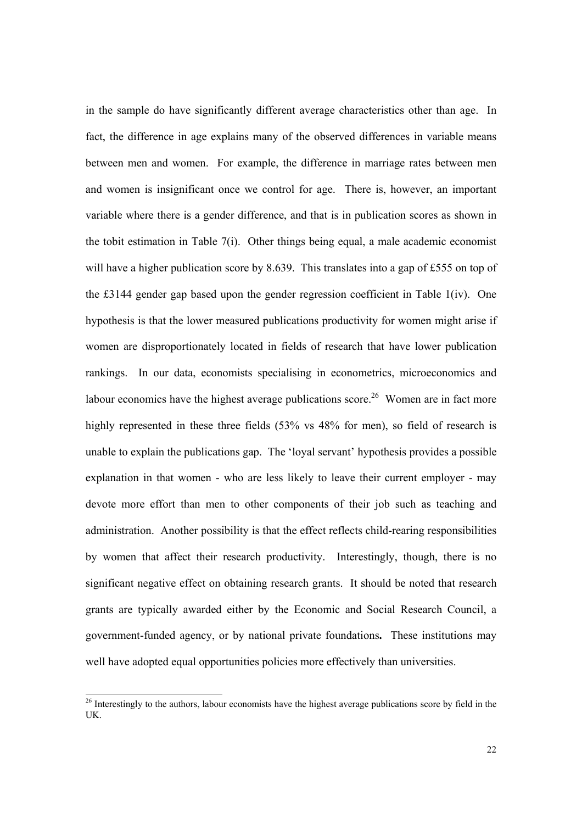in the sample do have significantly different average characteristics other than age. In fact, the difference in age explains many of the observed differences in variable means between men and women. For example, the difference in marriage rates between men and women is insignificant once we control for age. There is, however, an important variable where there is a gender difference, and that is in publication scores as shown in the tobit estimation in Table 7(i). Other things being equal, a male academic economist will have a higher publication score by 8.639. This translates into a gap of £555 on top of the £3144 gender gap based upon the gender regression coefficient in Table 1(iv). One hypothesis is that the lower measured publications productivity for women might arise if women are disproportionately located in fields of research that have lower publication rankings. In our data, economists specialising in econometrics, microeconomics and labour economics have the highest average publications score.<sup>26</sup> Women are in fact more highly represented in these three fields (53% vs 48% for men), so field of research is unable to explain the publications gap. The 'loyal servant' hypothesis provides a possible explanation in that women - who are less likely to leave their current employer - may devote more effort than men to other components of their job such as teaching and administration. Another possibility is that the effect reflects child-rearing responsibilities by women that affect their research productivity. Interestingly, though, there is no significant negative effect on obtaining research grants. It should be noted that research grants are typically awarded either by the Economic and Social Research Council, a government-funded agency, or by national private foundations**.** These institutions may well have adopted equal opportunities policies more effectively than universities.

<sup>&</sup>lt;sup>26</sup> Interestingly to the authors, labour economists have the highest average publications score by field in the UK.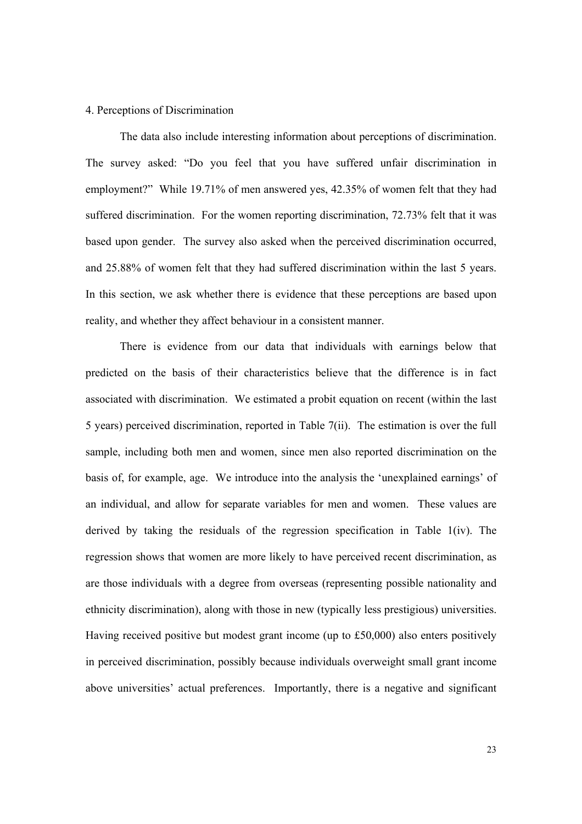#### 4. Perceptions of Discrimination

 The data also include interesting information about perceptions of discrimination. The survey asked: "Do you feel that you have suffered unfair discrimination in employment?" While 19.71% of men answered yes, 42.35% of women felt that they had suffered discrimination. For the women reporting discrimination, 72.73% felt that it was based upon gender. The survey also asked when the perceived discrimination occurred, and 25.88% of women felt that they had suffered discrimination within the last 5 years. In this section, we ask whether there is evidence that these perceptions are based upon reality, and whether they affect behaviour in a consistent manner.

There is evidence from our data that individuals with earnings below that predicted on the basis of their characteristics believe that the difference is in fact associated with discrimination. We estimated a probit equation on recent (within the last 5 years) perceived discrimination, reported in Table 7(ii). The estimation is over the full sample, including both men and women, since men also reported discrimination on the basis of, for example, age. We introduce into the analysis the 'unexplained earnings' of an individual, and allow for separate variables for men and women. These values are derived by taking the residuals of the regression specification in Table 1(iv). The regression shows that women are more likely to have perceived recent discrimination, as are those individuals with a degree from overseas (representing possible nationality and ethnicity discrimination), along with those in new (typically less prestigious) universities. Having received positive but modest grant income (up to £50,000) also enters positively in perceived discrimination, possibly because individuals overweight small grant income above universities' actual preferences. Importantly, there is a negative and significant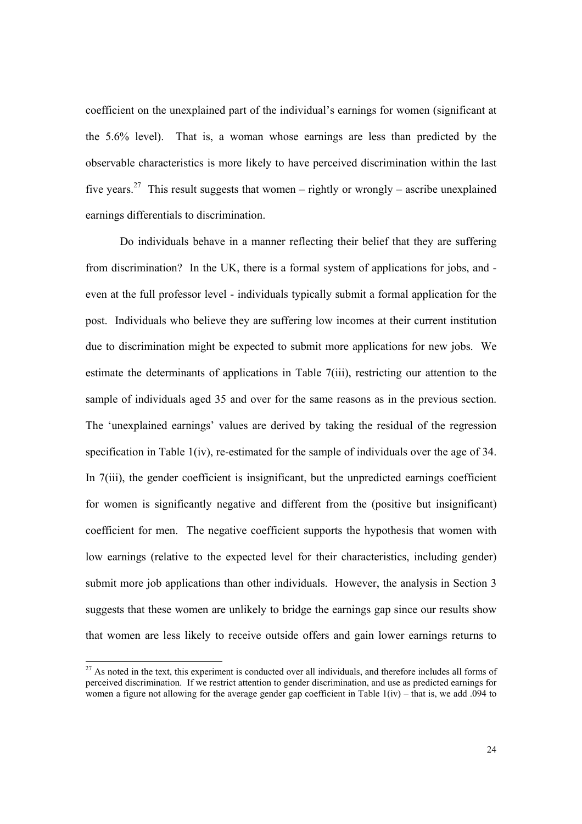coefficient on the unexplained part of the individual's earnings for women (significant at the 5.6% level). That is, a woman whose earnings are less than predicted by the observable characteristics is more likely to have perceived discrimination within the last five years.<sup>27</sup> This result suggests that women – rightly or wrongly – ascribe unexplained earnings differentials to discrimination.

Do individuals behave in a manner reflecting their belief that they are suffering from discrimination? In the UK, there is a formal system of applications for jobs, and even at the full professor level - individuals typically submit a formal application for the post. Individuals who believe they are suffering low incomes at their current institution due to discrimination might be expected to submit more applications for new jobs. We estimate the determinants of applications in Table 7(iii), restricting our attention to the sample of individuals aged 35 and over for the same reasons as in the previous section. The 'unexplained earnings' values are derived by taking the residual of the regression specification in Table 1(iv), re-estimated for the sample of individuals over the age of 34. In 7(iii), the gender coefficient is insignificant, but the unpredicted earnings coefficient for women is significantly negative and different from the (positive but insignificant) coefficient for men. The negative coefficient supports the hypothesis that women with low earnings (relative to the expected level for their characteristics, including gender) submit more job applications than other individuals. However, the analysis in Section 3 suggests that these women are unlikely to bridge the earnings gap since our results show that women are less likely to receive outside offers and gain lower earnings returns to

 $27$  As noted in the text, this experiment is conducted over all individuals, and therefore includes all forms of perceived discrimination. If we restrict attention to gender discrimination, and use as predicted earnings for women a figure not allowing for the average gender gap coefficient in Table  $1(iv)$  – that is, we add .094 to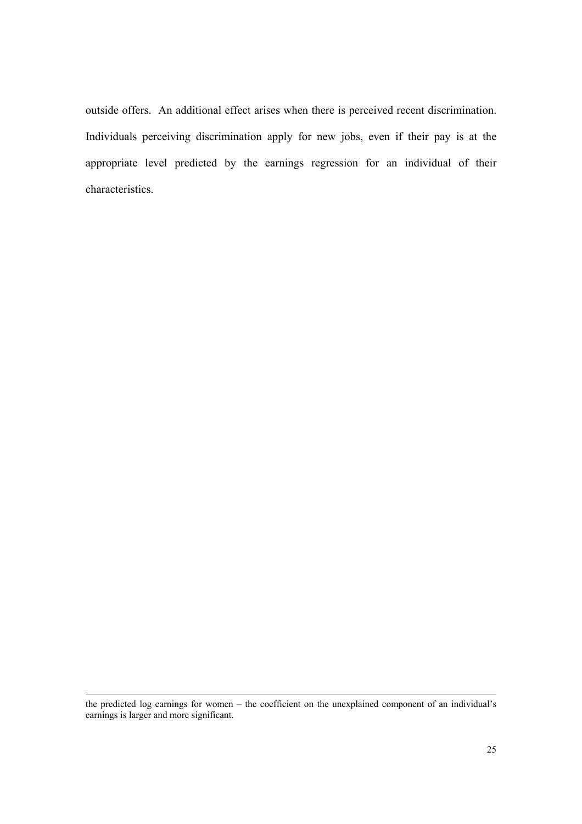outside offers. An additional effect arises when there is perceived recent discrimination. Individuals perceiving discrimination apply for new jobs, even if their pay is at the appropriate level predicted by the earnings regression for an individual of their characteristics.

the predicted log earnings for women – the coefficient on the unexplained component of an individual's earnings is larger and more significant.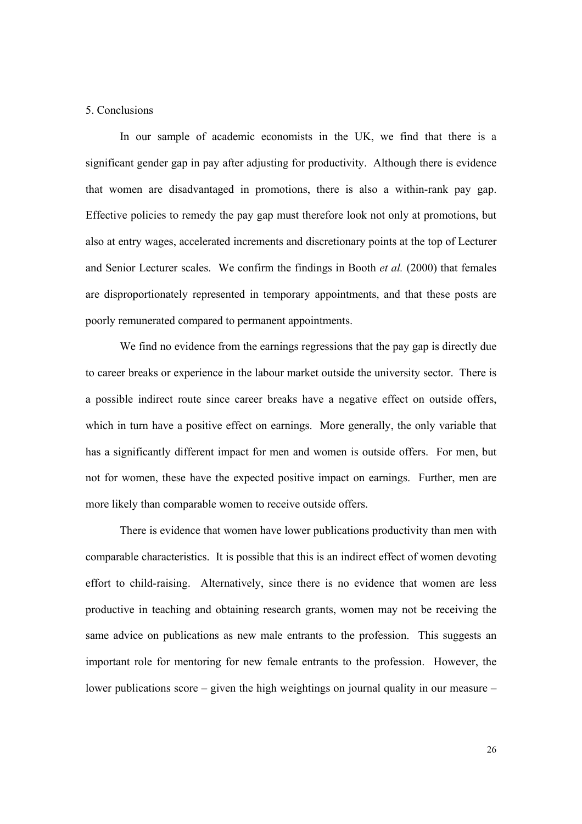#### 5. Conclusions

In our sample of academic economists in the UK, we find that there is a significant gender gap in pay after adjusting for productivity. Although there is evidence that women are disadvantaged in promotions, there is also a within-rank pay gap. Effective policies to remedy the pay gap must therefore look not only at promotions, but also at entry wages, accelerated increments and discretionary points at the top of Lecturer and Senior Lecturer scales. We confirm the findings in Booth *et al.* (2000) that females are disproportionately represented in temporary appointments, and that these posts are poorly remunerated compared to permanent appointments.

We find no evidence from the earnings regressions that the pay gap is directly due to career breaks or experience in the labour market outside the university sector. There is a possible indirect route since career breaks have a negative effect on outside offers, which in turn have a positive effect on earnings. More generally, the only variable that has a significantly different impact for men and women is outside offers. For men, but not for women, these have the expected positive impact on earnings. Further, men are more likely than comparable women to receive outside offers.

There is evidence that women have lower publications productivity than men with comparable characteristics. It is possible that this is an indirect effect of women devoting effort to child-raising. Alternatively, since there is no evidence that women are less productive in teaching and obtaining research grants, women may not be receiving the same advice on publications as new male entrants to the profession. This suggests an important role for mentoring for new female entrants to the profession. However, the lower publications score – given the high weightings on journal quality in our measure –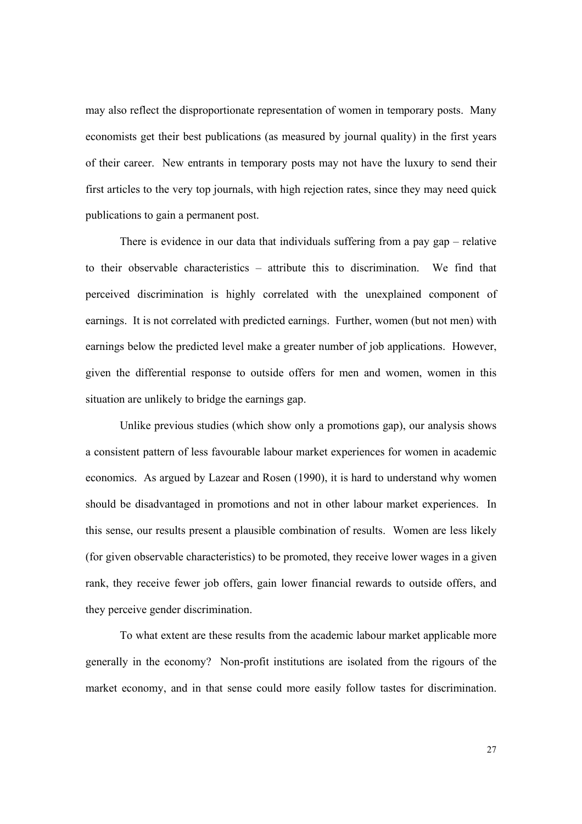may also reflect the disproportionate representation of women in temporary posts. Many economists get their best publications (as measured by journal quality) in the first years of their career. New entrants in temporary posts may not have the luxury to send their first articles to the very top journals, with high rejection rates, since they may need quick publications to gain a permanent post.

There is evidence in our data that individuals suffering from a pay gap – relative to their observable characteristics – attribute this to discrimination. We find that perceived discrimination is highly correlated with the unexplained component of earnings. It is not correlated with predicted earnings. Further, women (but not men) with earnings below the predicted level make a greater number of job applications. However, given the differential response to outside offers for men and women, women in this situation are unlikely to bridge the earnings gap.

Unlike previous studies (which show only a promotions gap), our analysis shows a consistent pattern of less favourable labour market experiences for women in academic economics. As argued by Lazear and Rosen (1990), it is hard to understand why women should be disadvantaged in promotions and not in other labour market experiences. In this sense, our results present a plausible combination of results. Women are less likely (for given observable characteristics) to be promoted, they receive lower wages in a given rank, they receive fewer job offers, gain lower financial rewards to outside offers, and they perceive gender discrimination.

To what extent are these results from the academic labour market applicable more generally in the economy? Non-profit institutions are isolated from the rigours of the market economy, and in that sense could more easily follow tastes for discrimination.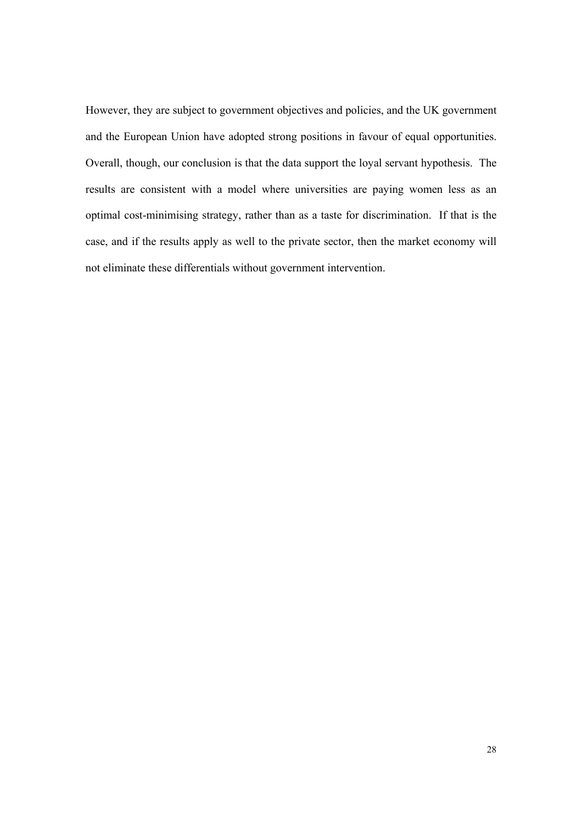However, they are subject to government objectives and policies, and the UK government and the European Union have adopted strong positions in favour of equal opportunities. Overall, though, our conclusion is that the data support the loyal servant hypothesis. The results are consistent with a model where universities are paying women less as an optimal cost-minimising strategy, rather than as a taste for discrimination. If that is the case, and if the results apply as well to the private sector, then the market economy will not eliminate these differentials without government intervention.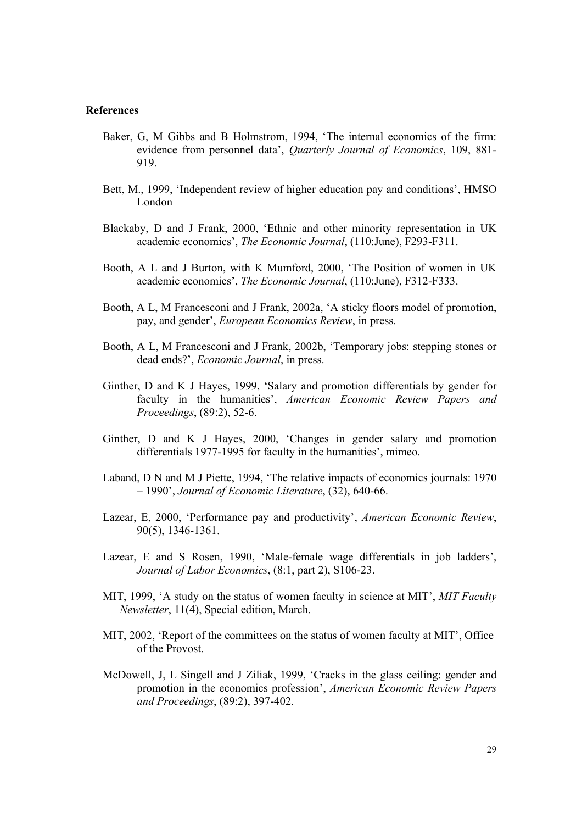#### **References**

- Baker, G, M Gibbs and B Holmstrom, 1994, 'The internal economics of the firm: evidence from personnel data', *Quarterly Journal of Economics*, 109, 881- 919.
- Bett, M., 1999, 'Independent review of higher education pay and conditions', HMSO London
- Blackaby, D and J Frank, 2000, 'Ethnic and other minority representation in UK academic economics', *The Economic Journal*, (110:June), F293-F311.
- Booth, A L and J Burton, with K Mumford, 2000, 'The Position of women in UK academic economics', *The Economic Journal*, (110:June), F312-F333.
- Booth, A L, M Francesconi and J Frank, 2002a, 'A sticky floors model of promotion, pay, and gender', *European Economics Review*, in press.
- Booth, A L, M Francesconi and J Frank, 2002b, 'Temporary jobs: stepping stones or dead ends?', *Economic Journal*, in press.
- Ginther, D and K J Hayes, 1999, 'Salary and promotion differentials by gender for faculty in the humanities', *American Economic Review Papers and Proceedings*, (89:2), 52-6.
- Ginther, D and K J Hayes, 2000, 'Changes in gender salary and promotion differentials 1977-1995 for faculty in the humanities', mimeo.
- Laband, D N and M J Piette, 1994, 'The relative impacts of economics journals: 1970 – 1990', *Journal of Economic Literature*, (32), 640-66.
- Lazear, E, 2000, 'Performance pay and productivity', *American Economic Review*, 90(5), 1346-1361.
- Lazear, E and S Rosen, 1990, 'Male-female wage differentials in job ladders', *Journal of Labor Economics*, (8:1, part 2), S106-23.
- MIT, 1999, 'A study on the status of women faculty in science at MIT', *MIT Faculty Newsletter*, 11(4), Special edition, March.
- MIT, 2002, 'Report of the committees on the status of women faculty at MIT', Office of the Provost.
- McDowell, J, L Singell and J Ziliak, 1999, 'Cracks in the glass ceiling: gender and promotion in the economics profession', *American Economic Review Papers and Proceedings*, (89:2), 397-402.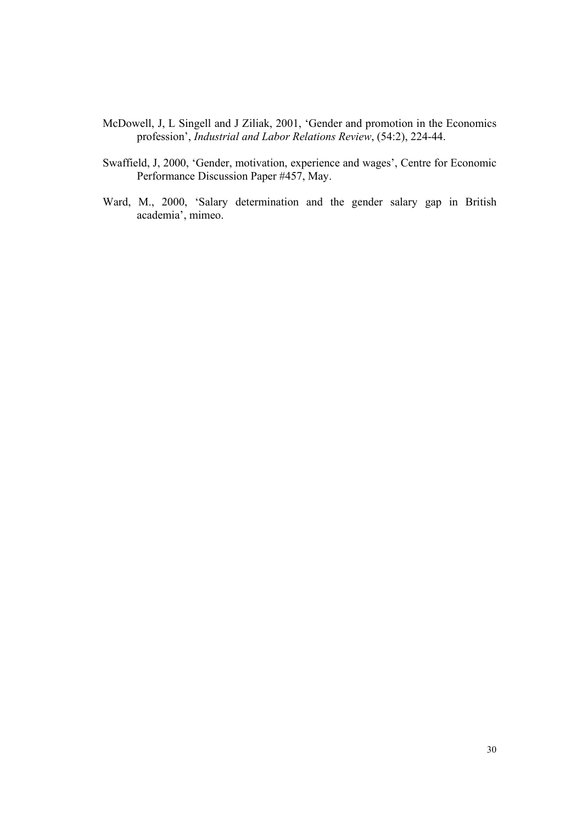- McDowell, J, L Singell and J Ziliak, 2001, 'Gender and promotion in the Economics profession', *Industrial and Labor Relations Review*, (54:2), 224-44.
- Swaffield, J, 2000, 'Gender, motivation, experience and wages', Centre for Economic Performance Discussion Paper #457, May.
- Ward, M., 2000, 'Salary determination and the gender salary gap in British academia', mimeo.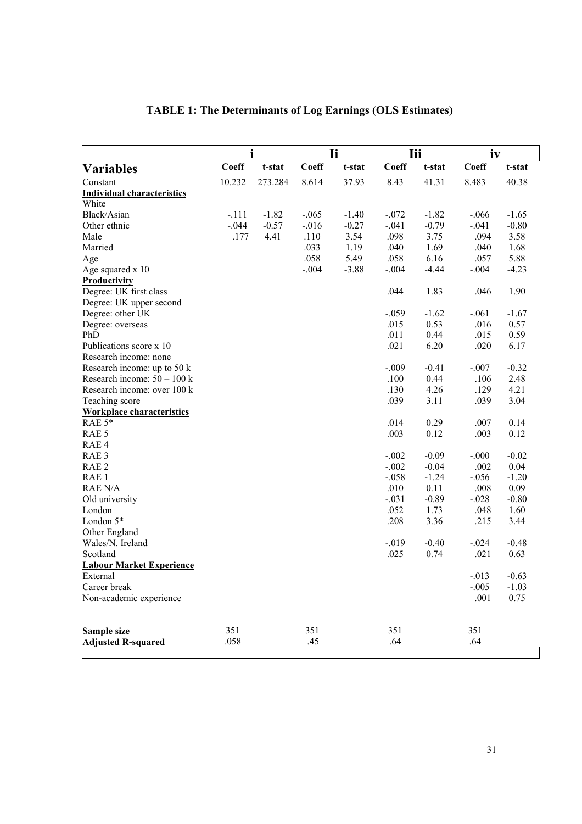|                                   |         | i       |          | <b>Ii</b> |         | <b>Iii</b> | iv      |         |
|-----------------------------------|---------|---------|----------|-----------|---------|------------|---------|---------|
| <b>Variables</b>                  | Coeff   | t-stat  | Coeff    | t-stat    | Coeff   | t-stat     | Coeff   | t-stat  |
| Constant                          | 10.232  | 273.284 | 8.614    | 37.93     | 8.43    | 41.31      | 8.483   | 40.38   |
| <b>Individual characteristics</b> |         |         |          |           |         |            |         |         |
| White                             |         |         |          |           |         |            |         |         |
| Black/Asian                       | $-.111$ | $-1.82$ | $-.065$  | $-1.40$   | $-.072$ | $-1.82$    | $-.066$ | $-1.65$ |
| Other ethnic                      | $-.044$ | $-0.57$ | $-0.016$ | $-0.27$   | $-.041$ | $-0.79$    | $-.041$ | $-0.80$ |
| Male                              | .177    | 4.41    | .110     | 3.54      | .098    | 3.75       | .094    | 3.58    |
| Married                           |         |         | .033     | 1.19      | .040    | 1.69       | .040    | 1.68    |
| Age                               |         |         | .058     | 5.49      | .058    | 6.16       | .057    | 5.88    |
| Age squared x 10                  |         |         | $-.004$  | $-3.88$   | $-.004$ | $-4.44$    | $-.004$ | $-4.23$ |
| Productivity                      |         |         |          |           |         |            |         |         |
| Degree: UK first class            |         |         |          |           | .044    | 1.83       | .046    | 1.90    |
| Degree: UK upper second           |         |         |          |           |         |            |         |         |
| Degree: other UK                  |         |         |          |           | $-.059$ | $-1.62$    | $-.061$ | $-1.67$ |
| Degree: overseas                  |         |         |          |           | .015    | 0.53       | .016    | 0.57    |
| PhD                               |         |         |          |           | .011    | 0.44       | .015    | 0.59    |
| Publications score x 10           |         |         |          |           | .021    | 6.20       | .020    | 6.17    |
| Research income: none             |         |         |          |           |         |            |         |         |
| Research income: up to 50 k       |         |         |          |           | $-.009$ | $-0.41$    | $-.007$ | $-0.32$ |
| Research income: $50 - 100$ k     |         |         |          |           | .100    | 0.44       | .106    | 2.48    |
| Research income: over 100 k       |         |         |          |           | .130    | 4.26       | .129    | 4.21    |
| Teaching score                    |         |         |          |           | .039    | 3.11       | .039    | 3.04    |
| <b>Workplace characteristics</b>  |         |         |          |           |         |            |         |         |
| RAE 5*                            |         |         |          |           | .014    | 0.29       | .007    | 0.14    |
| RAE <sub>5</sub>                  |         |         |          |           | .003    | 0.12       | .003    | 0.12    |
| RAE <sub>4</sub>                  |         |         |          |           |         |            |         |         |
| RAE <sub>3</sub>                  |         |         |          |           | $-.002$ | $-0.09$    | $-.000$ | $-0.02$ |
| RAE <sub>2</sub>                  |         |         |          |           | $-.002$ | $-0.04$    | .002    | 0.04    |
| RAE <sub>1</sub>                  |         |         |          |           | $-.058$ | $-1.24$    | $-.056$ | $-1.20$ |
| RAE N/A                           |         |         |          |           | .010    | 0.11       | .008    | 0.09    |
| Old university                    |         |         |          |           | $-.031$ | $-0.89$    | $-.028$ | $-0.80$ |
| London                            |         |         |          |           | .052    | 1.73       | .048    | 1.60    |
| London 5*                         |         |         |          |           | .208    | 3.36       | .215    | 3.44    |
| Other England                     |         |         |          |           |         |            |         |         |
| Wales/N. Ireland                  |         |         |          |           | $-.019$ | $-0.40$    | $-.024$ | $-0.48$ |
| Scotland                          |         |         |          |           | .025    | 0.74       | .021    | 0.63    |
| <b>Labour Market Experience</b>   |         |         |          |           |         |            |         |         |
| External                          |         |         |          |           |         |            | $-.013$ | $-0.63$ |
| Career break                      |         |         |          |           |         |            | $-.005$ | $-1.03$ |
| Non-academic experience           |         |         |          |           |         |            | .001    | 0.75    |
| Sample size                       | 351     |         | 351      |           | 351     |            | 351     |         |
| <b>Adjusted R-squared</b>         | .058    |         | .45      |           | .64     |            | .64     |         |
|                                   |         |         |          |           |         |            |         |         |

## **TABLE 1: The Determinants of Log Earnings (OLS Estimates)**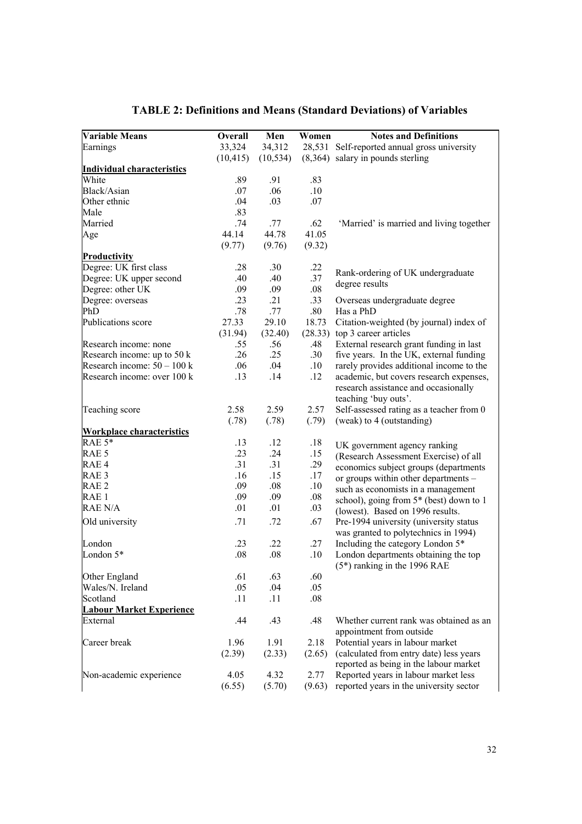| <b>Variable Means</b>             | Overall   | Men       | Women  | <b>Notes and Definitions</b>                                        |
|-----------------------------------|-----------|-----------|--------|---------------------------------------------------------------------|
| Earnings                          | 33,324    | 34,312    |        | 28,531 Self-reported annual gross university                        |
|                                   | (10, 415) | (10, 534) |        | $(8,364)$ salary in pounds sterling                                 |
| <b>Individual characteristics</b> |           |           |        |                                                                     |
| White                             | .89       | .91       | .83    |                                                                     |
| Black/Asian                       | .07       | .06       | .10    |                                                                     |
| Other ethnic                      | .04       | .03       | .07    |                                                                     |
| Male                              | .83       |           |        |                                                                     |
| Married                           | .74       | .77       | .62    | 'Married' is married and living together                            |
| Age                               | 44.14     | 44.78     | 41.05  |                                                                     |
|                                   | (9.77)    | (9.76)    | (9.32) |                                                                     |
| <b>Productivity</b>               |           |           |        |                                                                     |
| Degree: UK first class            | .28       | .30       | .22    |                                                                     |
| Degree: UK upper second           | .40       | .40       | .37    | Rank-ordering of UK undergraduate                                   |
| Degree: other UK                  | .09       | .09       | .08    | degree results                                                      |
| Degree: overseas                  | .23       | .21       | .33    | Overseas undergraduate degree                                       |
| PhD                               | .78       | .77       | .80    | Has a PhD                                                           |
| Publications score                | 27.33     | 29.10     | 18.73  | Citation-weighted (by journal) index of                             |
|                                   | (31.94)   | (32.40)   |        | $(28.33)$ top 3 career articles                                     |
| Research income: none             | .55       | .56       | .48    | External research grant funding in last                             |
| Research income: up to 50 k       | .26       | .25       | .30    | five years. In the UK, external funding                             |
| Research income: $50 - 100$ k     | .06       | .04       | .10    | rarely provides additional income to the                            |
| Research income: over 100 k       | .13       | .14       | .12    | academic, but covers research expenses,                             |
|                                   |           |           |        | research assistance and occasionally                                |
|                                   |           |           |        | teaching 'buy outs'.                                                |
| Teaching score                    | 2.58      | 2.59      | 2.57   | Self-assessed rating as a teacher from 0                            |
|                                   | (.78)     | (.78)     | (.79)  | (weak) to 4 (outstanding)                                           |
| <b>Workplace characteristics</b>  |           |           |        |                                                                     |
| RAE 5*                            | .13       | .12       | .18    | UK government agency ranking                                        |
| RAE 5                             | .23       | .24       | .15    | (Research Assessment Exercise) of all                               |
| RAE <sub>4</sub>                  | .31       | .31       | .29    | economics subject groups (departments                               |
| RAE <sub>3</sub>                  | .16       | .15       | .17    | or groups within other departments -                                |
| RAE <sub>2</sub>                  | .09       | $.08\,$   | .10    | such as economists in a management                                  |
| RAE <sub>1</sub>                  | .09       | .09       | .08    | school), going from 5* (best) down to 1                             |
| RAE N/A                           | .01       | .01       | .03    | (lowest). Based on 1996 results.                                    |
| Old university                    | .71       | .72       | .67    | Pre-1994 university (university status                              |
|                                   |           |           |        | was granted to polytechnics in 1994)                                |
| London                            | .23       | .22       | .27    | Including the category London 5*                                    |
| London 5*                         | .08       | .08       | .10    | London departments obtaining the top                                |
|                                   |           |           |        | $(5^*)$ ranking in the 1996 RAE                                     |
| Other England                     | .61       | .63       | .60    |                                                                     |
| Wales/N. Ireland                  | .05       | .04       | .05    |                                                                     |
| Scotland                          | .11       | .11       | .08    |                                                                     |
| <b>Labour Market Experience</b>   |           |           |        |                                                                     |
| External                          | .44       | .43       | .48    | Whether current rank was obtained as an<br>appointment from outside |
| Career break                      | 1.96      | 1.91      | 2.18   | Potential years in labour market                                    |
|                                   | (2.39)    | (2.33)    | (2.65) | (calculated from entry date) less years                             |
|                                   |           |           |        | reported as being in the labour market                              |
| Non-academic experience           | 4.05      | 4.32      | 2.77   | Reported years in labour market less                                |
|                                   | (6.55)    | (5.70)    | (9.63) | reported years in the university sector                             |

## **TABLE 2: Definitions and Means (Standard Deviations) of Variables**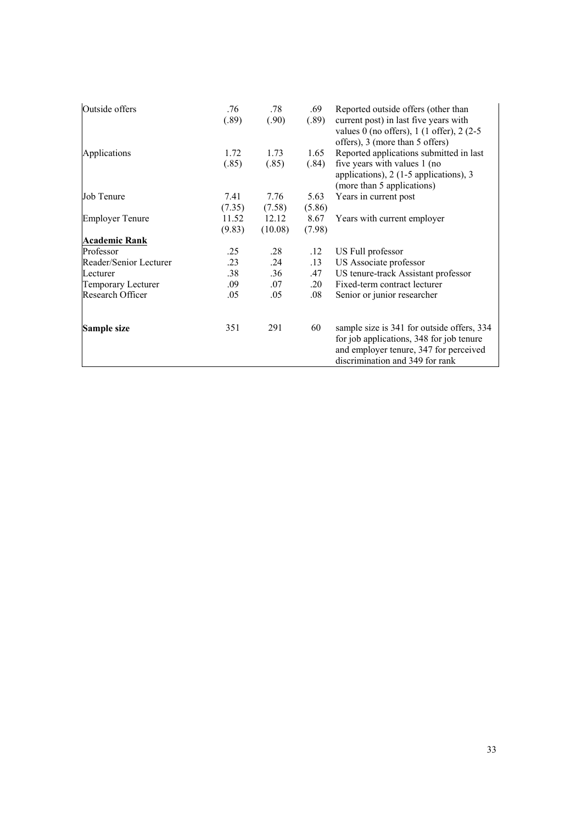| Outside offers<br>Applications | .76<br>(.89)<br>1.72 | .78<br>(.90)<br>1.73 | .69<br>(.89)<br>1.65 | Reported outside offers (other than<br>current post) in last five years with<br>values 0 (no offers), 1 (1 offer), 2 (2-5)<br>offers), 3 (more than 5 offers)<br>Reported applications submitted in last |
|--------------------------------|----------------------|----------------------|----------------------|----------------------------------------------------------------------------------------------------------------------------------------------------------------------------------------------------------|
|                                | (.85)                | (.85)                | (.84)                | five years with values 1 (no<br>applications), 2 (1-5 applications), 3<br>(more than 5 applications)                                                                                                     |
| Job Tenure                     | 7.41<br>(7.35)       | 7.76<br>(7.58)       | 5.63<br>(5.86)       | Years in current post                                                                                                                                                                                    |
| <b>Employer Tenure</b>         | 11.52<br>(9.83)      | 12.12<br>(10.08)     | 8.67<br>(7.98)       | Years with current employer                                                                                                                                                                              |
| <b>Academic Rank</b>           |                      |                      |                      |                                                                                                                                                                                                          |
| Professor                      | .25                  | .28                  | .12                  | US Full professor                                                                                                                                                                                        |
| Reader/Senior Lecturer         | .23                  | .24                  | .13                  | US Associate professor                                                                                                                                                                                   |
| Lecturer                       | .38                  | .36                  | .47                  | US tenure-track Assistant professor                                                                                                                                                                      |
| <b>Temporary Lecturer</b>      | .09                  | .07                  | .20                  | Fixed-term contract lecturer                                                                                                                                                                             |
| Research Officer               | .05                  | .05                  | $.08\,$              | Senior or junior researcher                                                                                                                                                                              |
| Sample size                    | 351                  | 291                  | 60                   | sample size is 341 for outside offers, 334<br>for job applications, 348 for job tenure<br>and employer tenure, 347 for perceived<br>discrimination and 349 for rank                                      |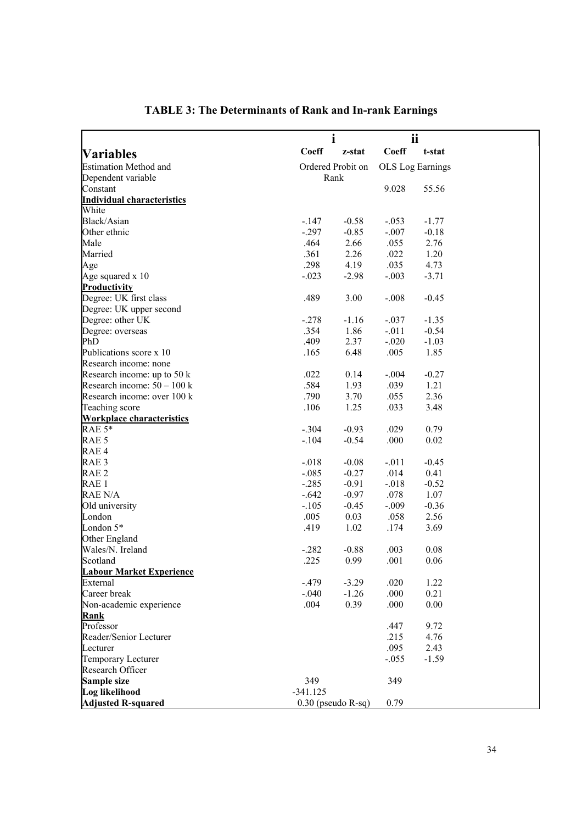|                                   |              | $\mathbf{i}$         |              | ii                      |
|-----------------------------------|--------------|----------------------|--------------|-------------------------|
| <b>Variables</b>                  | <b>Coeff</b> | z-stat               | <b>Coeff</b> | t-stat                  |
| <b>Estimation Method and</b>      |              | Ordered Probit on    |              | <b>OLS</b> Log Earnings |
| Dependent variable                |              | Rank                 |              |                         |
| Constant                          |              |                      | 9.028        | 55.56                   |
| <b>Individual characteristics</b> |              |                      |              |                         |
| White                             |              |                      |              |                         |
| Black/Asian                       | $-147$       | $-0.58$              | $-.053$      | $-1.77$                 |
| Other ethnic                      | $-.297$      | $-0.85$              | $-.007$      | $-0.18$                 |
| Male                              | .464         | 2.66                 | .055         | 2.76                    |
| Married                           | .361         | 2.26                 | .022         | 1.20                    |
| Age                               | .298         | 4.19                 | .035         | 4.73                    |
| Age squared x 10                  | $-.023$      | $-2.98$              | $-.003$      | $-3.71$                 |
| <b>Productivity</b>               |              |                      |              |                         |
| Degree: UK first class            | .489         | 3.00                 | $-.008$      | $-0.45$                 |
| Degree: UK upper second           |              |                      |              |                         |
| Degree: other UK                  | $-.278$      | $-1.16$              | $-.037$      | $-1.35$                 |
| Degree: overseas                  | .354         | 1.86                 | $-.011$      | $-0.54$                 |
| PhD                               | .409         | 2.37                 | $-.020$      | $-1.03$                 |
| Publications score x 10           | .165         | 6.48                 | .005         | 1.85                    |
| Research income: none             |              |                      |              |                         |
| Research income: up to 50 k       | .022         | 0.14                 | $-.004$      | $-0.27$                 |
| Research income: $50 - 100$ k     | .584         | 1.93                 | .039         | 1.21                    |
| Research income: over 100 k       | .790         | 3.70                 | .055         | 2.36                    |
| Teaching score                    | .106         | 1.25                 | .033         | 3.48                    |
| <b>Workplace characteristics</b>  |              |                      |              |                         |
| RAE 5*                            | $-.304$      | $-0.93$              | .029         | 0.79                    |
| RAE 5                             | $-.104$      | $-0.54$              | .000         | 0.02                    |
| RAE <sub>4</sub>                  |              |                      |              |                         |
| RAE <sub>3</sub>                  | $-.018$      | $-0.08$              | $-.011$      | $-0.45$                 |
| RAE <sub>2</sub>                  | $-.085$      | $-0.27$              | .014         | 0.41                    |
| RAE 1                             | $-.285$      | $-0.91$              | $-0.018$     | $-0.52$                 |
| RAE N/A                           | $-.642$      | $-0.97$              | .078         | 1.07                    |
| Old university                    | $-.105$      | $-0.45$              | $-.009$      | $-0.36$                 |
| London                            | .005         | 0.03                 | .058         | 2.56                    |
| London 5*                         | .419         | 1.02                 | .174         | 3.69                    |
| Other England                     |              |                      |              |                         |
| Wales/N. Ireland                  | $-.282$      | $-0.88$              | .003         | 0.08                    |
| Scotland                          | .225         | 0.99                 | .001         | 0.06                    |
| <b>Labour Market Experience</b>   |              |                      |              |                         |
| External                          | $-.479$      | $-3.29$              | .020         | 1.22                    |
| Career break                      | $-.040$      | $-1.26$              | .000         | 0.21                    |
| Non-academic experience           | .004         | 0.39                 | .000         | 0.00                    |
| <u>Rank</u>                       |              |                      |              |                         |
| Professor                         |              |                      | .447         | 9.72                    |
| Reader/Senior Lecturer            |              |                      | .215         | 4.76                    |
| Lecturer                          |              |                      | .095         | 2.43                    |
| Temporary Lecturer                |              |                      | $-0.055$     | $-1.59$                 |
| Research Officer                  |              |                      |              |                         |
| <b>Sample size</b>                | 349          |                      | 349          |                         |
| Log likelihood                    | $-341.125$   |                      |              |                         |
| <b>Adjusted R-squared</b>         |              | $0.30$ (pseudo R-sq) | 0.79         |                         |
|                                   |              |                      |              |                         |

## **TABLE 3: The Determinants of Rank and In-rank Earnings**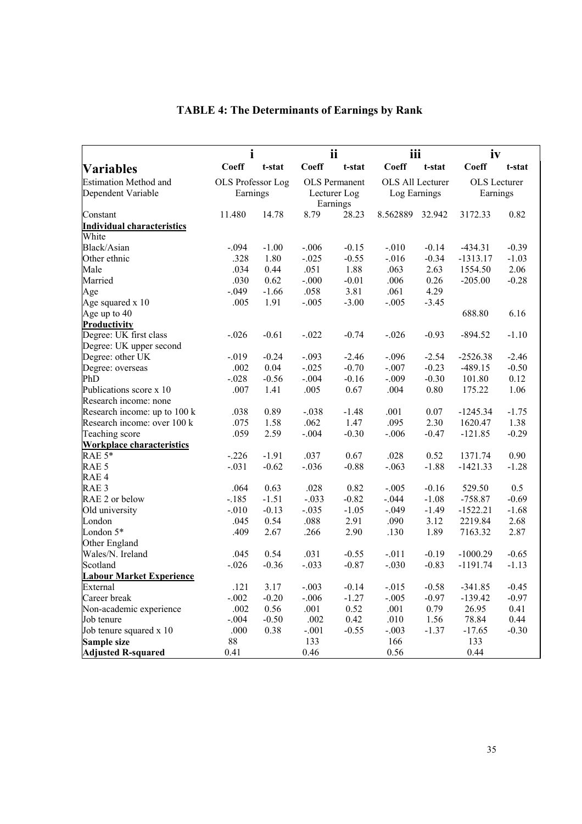|                                      | i                 |                    |                    | ii                   | iii                |                    | iv                      |                    |
|--------------------------------------|-------------------|--------------------|--------------------|----------------------|--------------------|--------------------|-------------------------|--------------------|
| <b>Variables</b>                     | Coeff             | t-stat             | <b>Coeff</b>       | t-stat               | <b>Coeff</b>       | t-stat             | Coeff                   | t-stat             |
| <b>Estimation Method and</b>         | OLS Professor Log |                    |                    | <b>OLS</b> Permanent | OLS All Lecturer   |                    | OLS Lecturer            |                    |
| Dependent Variable                   | Earnings          |                    |                    | Lecturer Log         | Log Earnings       |                    | Earnings                |                    |
|                                      |                   |                    |                    | Earnings             |                    |                    |                         |                    |
| Constant                             | 11.480            | 14.78              | 8.79               | 28.23                | 8.562889           | 32.942             | 3172.33                 | 0.82               |
| <b>Individual characteristics</b>    |                   |                    |                    |                      |                    |                    |                         |                    |
| White                                |                   |                    |                    |                      |                    |                    |                         |                    |
| Black/Asian                          | $-.094$           | $-1.00$            | $-.006$            | $-0.15$              | $-.010$            | $-0.14$            | $-434.31$               | $-0.39$            |
| Other ethnic                         | .328              | 1.80               | $-.025$            | $-0.55$              | $-.016$            | $-0.34$            | $-1313.17$              | $-1.03$            |
| Male                                 | .034              | 0.44               | .051               | 1.88                 | .063               | 2.63               | 1554.50                 | 2.06               |
| Married                              | .030              | 0.62               | $-.000$            | $-0.01$              | .006               | 0.26               | $-205.00$               | $-0.28$            |
| Age                                  | $-.049$           | $-1.66$            | .058               | 3.81                 | .061               | 4.29               |                         |                    |
| Age squared x 10                     | .005              | 1.91               | $-.005$            | $-3.00$              | $-.005$            | $-3.45$            |                         |                    |
| Age up to 40                         |                   |                    |                    |                      |                    |                    | 688.80                  | 6.16               |
| Productivity                         |                   |                    |                    |                      |                    |                    |                         |                    |
| Degree: UK first class               | $-.026$           | $-0.61$            | $-.022$            | $-0.74$              | $-.026$            | $-0.93$            | $-894.52$               | $-1.10$            |
| Degree: UK upper second              |                   |                    |                    |                      |                    |                    |                         |                    |
| Degree: other UK                     | $-.019$           | $-0.24$            | $-.093$            | $-2.46$              | $-.096$            | $-2.54$            | $-2526.38$              | $-2.46$            |
| Degree: overseas                     | .002              | 0.04               | $-.025$            | $-0.70$              | $-.007$            | $-0.23$            | $-489.15$               | $-0.50$            |
| PhD                                  | $-.028$           | $-0.56$            | $-.004$            | $-0.16$              | $-.009$            | $-0.30$            | 101.80                  | 0.12               |
| Publications score x 10              | .007              | 1.41               | .005               | 0.67                 | .004               | $0.80\,$           | 175.22                  | 1.06               |
| Research income: none                |                   |                    |                    |                      |                    |                    |                         |                    |
| Research income: up to 100 k         | .038              | 0.89               | $-.038$            | $-1.48$              | .001               | 0.07               | $-1245.34$              | $-1.75$            |
| Research income: over 100 k          | .075              | 1.58               | .062               | 1.47                 | .095               | 2.30               | 1620.47                 | 1.38               |
| Teaching score                       | .059              | 2.59               | $-.004$            | $-0.30$              | $-.006$            | $-0.47$            | $-121.85$               | $-0.29$            |
| <b>Workplace characteristics</b>     |                   |                    |                    |                      |                    |                    |                         |                    |
| RAE $5^*$                            | $-.226$           | $-1.91$            | .037               | 0.67                 | .028               | 0.52               | 1371.74                 | 0.90               |
| RAE <sub>5</sub>                     | $-.031$           | $-0.62$            | $-.036$            | $-0.88$              | $-.063$            | $-1.88$            | $-1421.33$              | $-1.28$            |
| RAE <sub>4</sub><br>RAE <sub>3</sub> |                   |                    |                    |                      |                    |                    |                         | 0.5                |
|                                      | .064<br>$-.185$   | 0.63               | .028               | 0.82                 | $-.005$            | $-0.16$            | 529.50                  |                    |
| RAE 2 or below                       |                   | $-1.51$<br>$-0.13$ | $-.033$<br>$-.035$ | $-0.82$<br>$-1.05$   | $-.044$<br>$-.049$ | $-1.08$<br>$-1.49$ | $-758.87$<br>$-1522.21$ | $-0.69$<br>$-1.68$ |
| Old university<br>London             | $-.010$<br>.045   | 0.54               | .088               | 2.91                 | .090               | 3.12               | 2219.84                 | 2.68               |
| London 5*                            | .409              | 2.67               | .266               | 2.90                 | .130               | 1.89               | 7163.32                 | 2.87               |
| Other England                        |                   |                    |                    |                      |                    |                    |                         |                    |
| Wales/N. Ireland                     | .045              | 0.54               | .031               | $-0.55$              | $-.011$            | $-0.19$            | $-1000.29$              | $-0.65$            |
| Scotland                             | $-.026$           | $-0.36$            | $-.033$            | $-0.87$              | $-.030$            | $-0.83$            | $-1191.74$              | $-1.13$            |
| <b>Labour Market Experience</b>      |                   |                    |                    |                      |                    |                    |                         |                    |
| External                             | .121              | 3.17               | $-.003$            | $-0.14$              | $-0.015$           | $-0.58$            | $-341.85$               | $-0.45$            |
| Career break                         | $-.002$           | $-0.20$            | $-.006$            | $-1.27$              | $-.005$            | $-0.97$            | $-139.42$               | $-0.97$            |
| Non-academic experience              | .002              | 0.56               | .001               | 0.52                 | .001               | 0.79               | 26.95                   | 0.41               |
| Job tenure                           | $-.004$           | $-0.50$            | .002               | 0.42                 | .010               | 1.56               | 78.84                   | 0.44               |
| Job tenure squared x 10              | .000              | 0.38               | $-.001$            | $-0.55$              | $-.003$            | $-1.37$            | $-17.65$                | $-0.30$            |
| Sample size                          | 88                |                    | 133                |                      | 166                |                    | 133                     |                    |
| <b>Adjusted R-squared</b>            | 0.41              |                    | 0.46               |                      | 0.56               |                    | 0.44                    |                    |

## **TABLE 4: The Determinants of Earnings by Rank**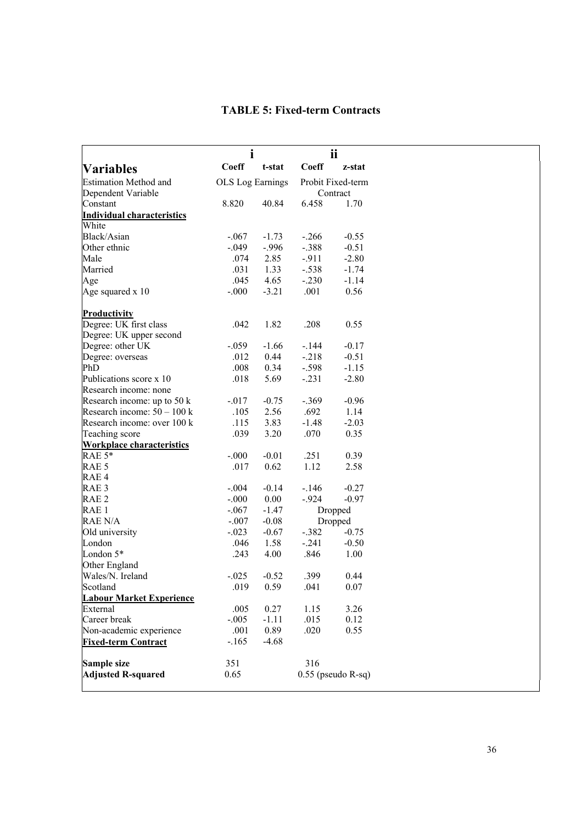### **TABLE 5: Fixed-term Contracts**

|                                   | $\mathbf i$             |         |         | ii                   |
|-----------------------------------|-------------------------|---------|---------|----------------------|
| <b>Variables</b>                  | <b>Coeff</b>            | t-stat  | Coeff   | z-stat               |
| <b>Estimation Method and</b>      | <b>OLS</b> Log Earnings |         |         | Probit Fixed-term    |
| Dependent Variable                |                         |         |         | Contract             |
| Constant                          | 8.820                   | 40.84   | 6.458   | 1.70                 |
| <b>Individual characteristics</b> |                         |         |         |                      |
| White                             |                         |         |         |                      |
| Black/Asian                       | $-.067$                 | $-1.73$ | $-.266$ | $-0.55$              |
| Other ethnic                      | $-.049$                 | $-.996$ | $-.388$ | $-0.51$              |
| Male                              | .074                    | 2.85    | $-911$  | $-2.80$              |
| Married                           | .031                    | 1.33    | $-.538$ | $-1.74$              |
| Age                               | .045                    | 4.65    | $-.230$ | $-1.14$              |
| Age squared x 10                  | $-.000$                 | $-3.21$ | .001    | 0.56                 |
|                                   |                         |         |         |                      |
| <b>Productivity</b>               |                         |         |         |                      |
| Degree: UK first class            | .042                    | 1.82    | .208    | 0.55                 |
| Degree: UK upper second           |                         |         |         |                      |
| Degree: other UK                  | $-.059$                 | $-1.66$ | $-144$  | $-0.17$              |
| Degree: overseas                  | .012                    | 0.44    | $-.218$ | $-0.51$              |
| PhD                               | .008                    | 0.34    | $-.598$ | $-1.15$              |
| Publications score x 10           | .018                    | 5.69    | $-.231$ | $-2.80$              |
| Research income: none             |                         |         |         |                      |
| Research income: up to 50 k       | $-.017$                 | $-0.75$ | $-.369$ | $-0.96$              |
| Research income: $50 - 100$ k     | .105                    | 2.56    | .692    | 1.14                 |
| Research income: over 100 k       | .115                    | 3.83    | $-1.48$ | $-2.03$              |
| Teaching score                    | .039                    | 3.20    | .070    | 0.35                 |
| <b>Workplace characteristics</b>  |                         |         |         |                      |
| RAE 5*                            | $-.000$                 | $-0.01$ | .251    | 0.39                 |
| RAE <sub>5</sub>                  | .017                    | 0.62    | 1.12    | 2.58                 |
| RAE <sub>4</sub>                  |                         |         |         |                      |
| RAE <sub>3</sub>                  | $-.004$                 | $-0.14$ | $-.146$ | $-0.27$              |
| RAE <sub>2</sub>                  | $-.000$                 | 0.00    | $-.924$ | $-0.97$              |
| RAE <sub>1</sub>                  | $-.067$                 | $-1.47$ |         | Dropped              |
| RAE N/A                           | $-.007$                 | $-0.08$ |         | Dropped              |
| Old university                    | $-.023$                 | $-0.67$ | $-.382$ | $-0.75$              |
| London                            | .046                    | 1.58    | $-.241$ | $-0.50$              |
| London 5*                         | .243                    | 4.00    | .846    | 1.00                 |
| Other England                     |                         |         |         |                      |
| Wales/N. Ireland                  | $-.025$                 | $-0.52$ | .399    | 0.44                 |
| Scotland                          | .019                    | 0.59    | .041    | 0.07                 |
| <b>Labour Market Experience</b>   |                         |         |         |                      |
| External                          | .005                    | 0.27    | 1.15    | 3.26                 |
| Career break                      | $-.005$                 | $-1.11$ | .015    | 0.12                 |
| Non-academic experience           | .001                    | 0.89    | .020    | 0.55                 |
| <b>Fixed-term Contract</b>        | $-.165$                 | $-4.68$ |         |                      |
|                                   |                         |         |         |                      |
| Sample size                       | 351                     |         | 316     |                      |
| <b>Adjusted R-squared</b>         | 0.65                    |         |         | $0.55$ (pseudo R-sq) |
|                                   |                         |         |         |                      |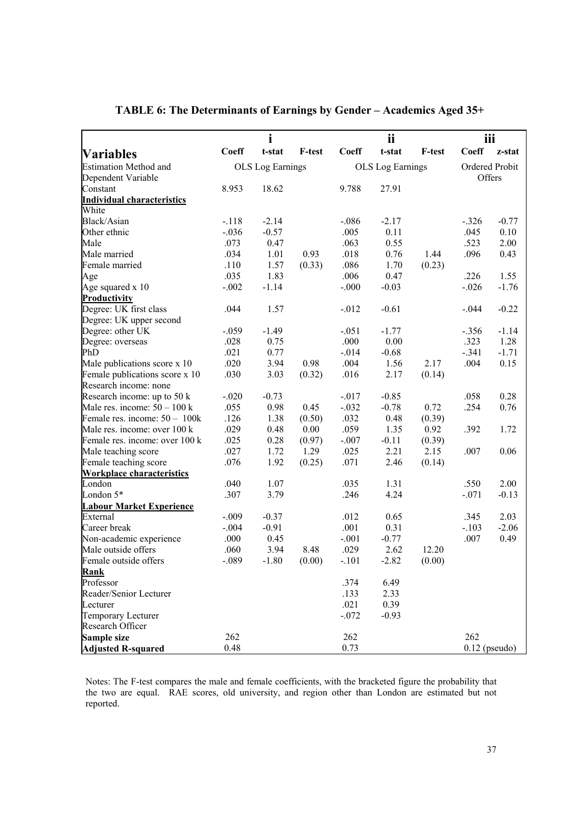| <b>Coeff</b><br>Coeff<br>t-stat<br><b>Coeff</b><br>t-stat<br><b>F-test</b><br>F-test<br><b>Variables</b><br><b>Estimation Method and</b><br>Ordered Probit<br><b>OLS</b> Log Earnings<br><b>OLS</b> Log Earnings<br>Offers<br>Dependent Variable<br>Constant<br>8.953<br>18.62<br>9.788<br>27.91<br><b>Individual characteristics</b><br>White<br>Black/Asian<br>$-0.086$<br>$-.118$<br>$-2.14$<br>$-2.17$<br>$-.326$<br>$-0.57$<br>Other ethnic<br>$-.036$<br>.005<br>0.11<br>.045<br>.523<br>.073<br>0.47<br>.063<br>0.55<br>Male<br>.034<br>1.01<br>0.93<br>.018<br>0.76<br>1.44<br>.096<br>Male married<br>.086<br>.110<br>1.57<br>(0.33)<br>1.70<br>(0.23)<br>Female married<br>.035<br>1.83<br>.006<br>0.47<br>.226<br>Age<br>Age squared x 10<br>$-.002$<br>$-1.14$<br>$-.000$<br>$-0.03$<br>$-.026$<br><b>Productivity</b><br>Degree: UK first class<br>.044<br>1.57<br>$-0.012$<br>$-0.61$<br>$-.044$<br>Degree: UK upper second<br>Degree: other UK<br>$-1.49$<br>$-.059$<br>$-.051$<br>$-1.77$<br>$-.356$<br>.028<br>0.75<br>.000<br>0.00<br>.323<br>Degree: overseas<br>PhD<br>.021<br>0.77<br>$-.014$<br>$-0.68$<br>$-.341$<br>.020<br>0.98<br>3.94<br>.004<br>1.56<br>2.17<br>.004<br>Male publications score x 10<br>.030<br>3.03<br>.016<br>2.17<br>Female publications score x 10<br>(0.32)<br>(0.14)<br>Research income: none<br>$-.020$<br>$-0.73$<br>$-0.85$<br>Research income: up to 50 k<br>$-.017$<br>.058<br>.055<br>0.98<br>0.45<br>$-.032$<br>$-0.78$<br>0.72<br>.254<br>Male res. income: $50 - 100$ k<br>1.38<br>Female res. income: 50 - 100k<br>.126<br>.032<br>(0.50)<br>0.48<br>(0.39)<br>.029<br>0.48<br>0.00<br>.059<br>1.35<br>0.92<br>.392<br>Male res. income: over 100 k<br>.025<br>0.28<br>(0.97)<br>$-.007$<br>$-0.11$<br>(0.39)<br>Female res. income: over 100 k<br>.027<br>1.72<br>1.29<br>.025<br>2.21<br>2.15<br>.007<br>Male teaching score<br>.076<br>Female teaching score<br>1.92<br>(0.25)<br>.071<br>2.46<br>(0.14)<br><b>Workplace characteristics</b><br>London<br>.040<br>1.07<br>.035<br>.550<br>1.31<br>.307<br>.246<br>London 5*<br>3.79<br>4.24<br>$-.071$<br><b>Labour Market Experience</b><br>External<br>$-.009$<br>$-0.37$<br>.012<br>0.65<br>.345<br>.001<br>$-.004$<br>$-0.91$<br>0.31<br>$-.103$<br>Career break<br>Non-academic experience<br>$-0.77$<br>.007<br>.000<br>0.45<br>$-.001$<br>.029<br>Male outside offers<br>.060<br>3.94<br>8.48<br>2.62<br>12.20<br>$-.089$<br>$-1.80$<br>$-.101$<br>$-2.82$<br>(0.00)<br>Female outside offers<br>(0.00)<br>Rank<br>Professor<br>.374<br>6.49<br>Reader/Senior Lecturer<br>2.33<br>.133<br>.021<br>0.39<br>Lecturer<br>$-.072$<br>$-0.93$<br><b>Temporary Lecturer</b> |                  | i |  |  | ii | iii |  |          |
|---------------------------------------------------------------------------------------------------------------------------------------------------------------------------------------------------------------------------------------------------------------------------------------------------------------------------------------------------------------------------------------------------------------------------------------------------------------------------------------------------------------------------------------------------------------------------------------------------------------------------------------------------------------------------------------------------------------------------------------------------------------------------------------------------------------------------------------------------------------------------------------------------------------------------------------------------------------------------------------------------------------------------------------------------------------------------------------------------------------------------------------------------------------------------------------------------------------------------------------------------------------------------------------------------------------------------------------------------------------------------------------------------------------------------------------------------------------------------------------------------------------------------------------------------------------------------------------------------------------------------------------------------------------------------------------------------------------------------------------------------------------------------------------------------------------------------------------------------------------------------------------------------------------------------------------------------------------------------------------------------------------------------------------------------------------------------------------------------------------------------------------------------------------------------------------------------------------------------------------------------------------------------------------------------------------------------------------------------------------------------------------------------------------------------------------------------------------------------------------------------------------------------------------------------------------------------------------------------------------------------------------------------------------------------------------------|------------------|---|--|--|----|-----|--|----------|
|                                                                                                                                                                                                                                                                                                                                                                                                                                                                                                                                                                                                                                                                                                                                                                                                                                                                                                                                                                                                                                                                                                                                                                                                                                                                                                                                                                                                                                                                                                                                                                                                                                                                                                                                                                                                                                                                                                                                                                                                                                                                                                                                                                                                                                                                                                                                                                                                                                                                                                                                                                                                                                                                                             |                  |   |  |  |    |     |  | z-stat   |
|                                                                                                                                                                                                                                                                                                                                                                                                                                                                                                                                                                                                                                                                                                                                                                                                                                                                                                                                                                                                                                                                                                                                                                                                                                                                                                                                                                                                                                                                                                                                                                                                                                                                                                                                                                                                                                                                                                                                                                                                                                                                                                                                                                                                                                                                                                                                                                                                                                                                                                                                                                                                                                                                                             |                  |   |  |  |    |     |  |          |
|                                                                                                                                                                                                                                                                                                                                                                                                                                                                                                                                                                                                                                                                                                                                                                                                                                                                                                                                                                                                                                                                                                                                                                                                                                                                                                                                                                                                                                                                                                                                                                                                                                                                                                                                                                                                                                                                                                                                                                                                                                                                                                                                                                                                                                                                                                                                                                                                                                                                                                                                                                                                                                                                                             |                  |   |  |  |    |     |  |          |
|                                                                                                                                                                                                                                                                                                                                                                                                                                                                                                                                                                                                                                                                                                                                                                                                                                                                                                                                                                                                                                                                                                                                                                                                                                                                                                                                                                                                                                                                                                                                                                                                                                                                                                                                                                                                                                                                                                                                                                                                                                                                                                                                                                                                                                                                                                                                                                                                                                                                                                                                                                                                                                                                                             |                  |   |  |  |    |     |  |          |
|                                                                                                                                                                                                                                                                                                                                                                                                                                                                                                                                                                                                                                                                                                                                                                                                                                                                                                                                                                                                                                                                                                                                                                                                                                                                                                                                                                                                                                                                                                                                                                                                                                                                                                                                                                                                                                                                                                                                                                                                                                                                                                                                                                                                                                                                                                                                                                                                                                                                                                                                                                                                                                                                                             |                  |   |  |  |    |     |  |          |
|                                                                                                                                                                                                                                                                                                                                                                                                                                                                                                                                                                                                                                                                                                                                                                                                                                                                                                                                                                                                                                                                                                                                                                                                                                                                                                                                                                                                                                                                                                                                                                                                                                                                                                                                                                                                                                                                                                                                                                                                                                                                                                                                                                                                                                                                                                                                                                                                                                                                                                                                                                                                                                                                                             |                  |   |  |  |    |     |  |          |
|                                                                                                                                                                                                                                                                                                                                                                                                                                                                                                                                                                                                                                                                                                                                                                                                                                                                                                                                                                                                                                                                                                                                                                                                                                                                                                                                                                                                                                                                                                                                                                                                                                                                                                                                                                                                                                                                                                                                                                                                                                                                                                                                                                                                                                                                                                                                                                                                                                                                                                                                                                                                                                                                                             |                  |   |  |  |    |     |  | $-0.77$  |
|                                                                                                                                                                                                                                                                                                                                                                                                                                                                                                                                                                                                                                                                                                                                                                                                                                                                                                                                                                                                                                                                                                                                                                                                                                                                                                                                                                                                                                                                                                                                                                                                                                                                                                                                                                                                                                                                                                                                                                                                                                                                                                                                                                                                                                                                                                                                                                                                                                                                                                                                                                                                                                                                                             |                  |   |  |  |    |     |  | $0.10\,$ |
|                                                                                                                                                                                                                                                                                                                                                                                                                                                                                                                                                                                                                                                                                                                                                                                                                                                                                                                                                                                                                                                                                                                                                                                                                                                                                                                                                                                                                                                                                                                                                                                                                                                                                                                                                                                                                                                                                                                                                                                                                                                                                                                                                                                                                                                                                                                                                                                                                                                                                                                                                                                                                                                                                             |                  |   |  |  |    |     |  | 2.00     |
|                                                                                                                                                                                                                                                                                                                                                                                                                                                                                                                                                                                                                                                                                                                                                                                                                                                                                                                                                                                                                                                                                                                                                                                                                                                                                                                                                                                                                                                                                                                                                                                                                                                                                                                                                                                                                                                                                                                                                                                                                                                                                                                                                                                                                                                                                                                                                                                                                                                                                                                                                                                                                                                                                             |                  |   |  |  |    |     |  | 0.43     |
|                                                                                                                                                                                                                                                                                                                                                                                                                                                                                                                                                                                                                                                                                                                                                                                                                                                                                                                                                                                                                                                                                                                                                                                                                                                                                                                                                                                                                                                                                                                                                                                                                                                                                                                                                                                                                                                                                                                                                                                                                                                                                                                                                                                                                                                                                                                                                                                                                                                                                                                                                                                                                                                                                             |                  |   |  |  |    |     |  |          |
|                                                                                                                                                                                                                                                                                                                                                                                                                                                                                                                                                                                                                                                                                                                                                                                                                                                                                                                                                                                                                                                                                                                                                                                                                                                                                                                                                                                                                                                                                                                                                                                                                                                                                                                                                                                                                                                                                                                                                                                                                                                                                                                                                                                                                                                                                                                                                                                                                                                                                                                                                                                                                                                                                             |                  |   |  |  |    |     |  | 1.55     |
|                                                                                                                                                                                                                                                                                                                                                                                                                                                                                                                                                                                                                                                                                                                                                                                                                                                                                                                                                                                                                                                                                                                                                                                                                                                                                                                                                                                                                                                                                                                                                                                                                                                                                                                                                                                                                                                                                                                                                                                                                                                                                                                                                                                                                                                                                                                                                                                                                                                                                                                                                                                                                                                                                             |                  |   |  |  |    |     |  | $-1.76$  |
|                                                                                                                                                                                                                                                                                                                                                                                                                                                                                                                                                                                                                                                                                                                                                                                                                                                                                                                                                                                                                                                                                                                                                                                                                                                                                                                                                                                                                                                                                                                                                                                                                                                                                                                                                                                                                                                                                                                                                                                                                                                                                                                                                                                                                                                                                                                                                                                                                                                                                                                                                                                                                                                                                             |                  |   |  |  |    |     |  |          |
|                                                                                                                                                                                                                                                                                                                                                                                                                                                                                                                                                                                                                                                                                                                                                                                                                                                                                                                                                                                                                                                                                                                                                                                                                                                                                                                                                                                                                                                                                                                                                                                                                                                                                                                                                                                                                                                                                                                                                                                                                                                                                                                                                                                                                                                                                                                                                                                                                                                                                                                                                                                                                                                                                             |                  |   |  |  |    |     |  | $-0.22$  |
|                                                                                                                                                                                                                                                                                                                                                                                                                                                                                                                                                                                                                                                                                                                                                                                                                                                                                                                                                                                                                                                                                                                                                                                                                                                                                                                                                                                                                                                                                                                                                                                                                                                                                                                                                                                                                                                                                                                                                                                                                                                                                                                                                                                                                                                                                                                                                                                                                                                                                                                                                                                                                                                                                             |                  |   |  |  |    |     |  |          |
|                                                                                                                                                                                                                                                                                                                                                                                                                                                                                                                                                                                                                                                                                                                                                                                                                                                                                                                                                                                                                                                                                                                                                                                                                                                                                                                                                                                                                                                                                                                                                                                                                                                                                                                                                                                                                                                                                                                                                                                                                                                                                                                                                                                                                                                                                                                                                                                                                                                                                                                                                                                                                                                                                             |                  |   |  |  |    |     |  | $-1.14$  |
|                                                                                                                                                                                                                                                                                                                                                                                                                                                                                                                                                                                                                                                                                                                                                                                                                                                                                                                                                                                                                                                                                                                                                                                                                                                                                                                                                                                                                                                                                                                                                                                                                                                                                                                                                                                                                                                                                                                                                                                                                                                                                                                                                                                                                                                                                                                                                                                                                                                                                                                                                                                                                                                                                             |                  |   |  |  |    |     |  | 1.28     |
|                                                                                                                                                                                                                                                                                                                                                                                                                                                                                                                                                                                                                                                                                                                                                                                                                                                                                                                                                                                                                                                                                                                                                                                                                                                                                                                                                                                                                                                                                                                                                                                                                                                                                                                                                                                                                                                                                                                                                                                                                                                                                                                                                                                                                                                                                                                                                                                                                                                                                                                                                                                                                                                                                             |                  |   |  |  |    |     |  | $-1.71$  |
|                                                                                                                                                                                                                                                                                                                                                                                                                                                                                                                                                                                                                                                                                                                                                                                                                                                                                                                                                                                                                                                                                                                                                                                                                                                                                                                                                                                                                                                                                                                                                                                                                                                                                                                                                                                                                                                                                                                                                                                                                                                                                                                                                                                                                                                                                                                                                                                                                                                                                                                                                                                                                                                                                             |                  |   |  |  |    |     |  | 0.15     |
|                                                                                                                                                                                                                                                                                                                                                                                                                                                                                                                                                                                                                                                                                                                                                                                                                                                                                                                                                                                                                                                                                                                                                                                                                                                                                                                                                                                                                                                                                                                                                                                                                                                                                                                                                                                                                                                                                                                                                                                                                                                                                                                                                                                                                                                                                                                                                                                                                                                                                                                                                                                                                                                                                             |                  |   |  |  |    |     |  |          |
|                                                                                                                                                                                                                                                                                                                                                                                                                                                                                                                                                                                                                                                                                                                                                                                                                                                                                                                                                                                                                                                                                                                                                                                                                                                                                                                                                                                                                                                                                                                                                                                                                                                                                                                                                                                                                                                                                                                                                                                                                                                                                                                                                                                                                                                                                                                                                                                                                                                                                                                                                                                                                                                                                             |                  |   |  |  |    |     |  |          |
|                                                                                                                                                                                                                                                                                                                                                                                                                                                                                                                                                                                                                                                                                                                                                                                                                                                                                                                                                                                                                                                                                                                                                                                                                                                                                                                                                                                                                                                                                                                                                                                                                                                                                                                                                                                                                                                                                                                                                                                                                                                                                                                                                                                                                                                                                                                                                                                                                                                                                                                                                                                                                                                                                             |                  |   |  |  |    |     |  | 0.28     |
|                                                                                                                                                                                                                                                                                                                                                                                                                                                                                                                                                                                                                                                                                                                                                                                                                                                                                                                                                                                                                                                                                                                                                                                                                                                                                                                                                                                                                                                                                                                                                                                                                                                                                                                                                                                                                                                                                                                                                                                                                                                                                                                                                                                                                                                                                                                                                                                                                                                                                                                                                                                                                                                                                             |                  |   |  |  |    |     |  | 0.76     |
|                                                                                                                                                                                                                                                                                                                                                                                                                                                                                                                                                                                                                                                                                                                                                                                                                                                                                                                                                                                                                                                                                                                                                                                                                                                                                                                                                                                                                                                                                                                                                                                                                                                                                                                                                                                                                                                                                                                                                                                                                                                                                                                                                                                                                                                                                                                                                                                                                                                                                                                                                                                                                                                                                             |                  |   |  |  |    |     |  |          |
|                                                                                                                                                                                                                                                                                                                                                                                                                                                                                                                                                                                                                                                                                                                                                                                                                                                                                                                                                                                                                                                                                                                                                                                                                                                                                                                                                                                                                                                                                                                                                                                                                                                                                                                                                                                                                                                                                                                                                                                                                                                                                                                                                                                                                                                                                                                                                                                                                                                                                                                                                                                                                                                                                             |                  |   |  |  |    |     |  | 1.72     |
|                                                                                                                                                                                                                                                                                                                                                                                                                                                                                                                                                                                                                                                                                                                                                                                                                                                                                                                                                                                                                                                                                                                                                                                                                                                                                                                                                                                                                                                                                                                                                                                                                                                                                                                                                                                                                                                                                                                                                                                                                                                                                                                                                                                                                                                                                                                                                                                                                                                                                                                                                                                                                                                                                             |                  |   |  |  |    |     |  |          |
|                                                                                                                                                                                                                                                                                                                                                                                                                                                                                                                                                                                                                                                                                                                                                                                                                                                                                                                                                                                                                                                                                                                                                                                                                                                                                                                                                                                                                                                                                                                                                                                                                                                                                                                                                                                                                                                                                                                                                                                                                                                                                                                                                                                                                                                                                                                                                                                                                                                                                                                                                                                                                                                                                             |                  |   |  |  |    |     |  | 0.06     |
|                                                                                                                                                                                                                                                                                                                                                                                                                                                                                                                                                                                                                                                                                                                                                                                                                                                                                                                                                                                                                                                                                                                                                                                                                                                                                                                                                                                                                                                                                                                                                                                                                                                                                                                                                                                                                                                                                                                                                                                                                                                                                                                                                                                                                                                                                                                                                                                                                                                                                                                                                                                                                                                                                             |                  |   |  |  |    |     |  |          |
|                                                                                                                                                                                                                                                                                                                                                                                                                                                                                                                                                                                                                                                                                                                                                                                                                                                                                                                                                                                                                                                                                                                                                                                                                                                                                                                                                                                                                                                                                                                                                                                                                                                                                                                                                                                                                                                                                                                                                                                                                                                                                                                                                                                                                                                                                                                                                                                                                                                                                                                                                                                                                                                                                             |                  |   |  |  |    |     |  |          |
|                                                                                                                                                                                                                                                                                                                                                                                                                                                                                                                                                                                                                                                                                                                                                                                                                                                                                                                                                                                                                                                                                                                                                                                                                                                                                                                                                                                                                                                                                                                                                                                                                                                                                                                                                                                                                                                                                                                                                                                                                                                                                                                                                                                                                                                                                                                                                                                                                                                                                                                                                                                                                                                                                             |                  |   |  |  |    |     |  | 2.00     |
|                                                                                                                                                                                                                                                                                                                                                                                                                                                                                                                                                                                                                                                                                                                                                                                                                                                                                                                                                                                                                                                                                                                                                                                                                                                                                                                                                                                                                                                                                                                                                                                                                                                                                                                                                                                                                                                                                                                                                                                                                                                                                                                                                                                                                                                                                                                                                                                                                                                                                                                                                                                                                                                                                             |                  |   |  |  |    |     |  | $-0.13$  |
|                                                                                                                                                                                                                                                                                                                                                                                                                                                                                                                                                                                                                                                                                                                                                                                                                                                                                                                                                                                                                                                                                                                                                                                                                                                                                                                                                                                                                                                                                                                                                                                                                                                                                                                                                                                                                                                                                                                                                                                                                                                                                                                                                                                                                                                                                                                                                                                                                                                                                                                                                                                                                                                                                             |                  |   |  |  |    |     |  |          |
|                                                                                                                                                                                                                                                                                                                                                                                                                                                                                                                                                                                                                                                                                                                                                                                                                                                                                                                                                                                                                                                                                                                                                                                                                                                                                                                                                                                                                                                                                                                                                                                                                                                                                                                                                                                                                                                                                                                                                                                                                                                                                                                                                                                                                                                                                                                                                                                                                                                                                                                                                                                                                                                                                             |                  |   |  |  |    |     |  | 2.03     |
|                                                                                                                                                                                                                                                                                                                                                                                                                                                                                                                                                                                                                                                                                                                                                                                                                                                                                                                                                                                                                                                                                                                                                                                                                                                                                                                                                                                                                                                                                                                                                                                                                                                                                                                                                                                                                                                                                                                                                                                                                                                                                                                                                                                                                                                                                                                                                                                                                                                                                                                                                                                                                                                                                             |                  |   |  |  |    |     |  | $-2.06$  |
|                                                                                                                                                                                                                                                                                                                                                                                                                                                                                                                                                                                                                                                                                                                                                                                                                                                                                                                                                                                                                                                                                                                                                                                                                                                                                                                                                                                                                                                                                                                                                                                                                                                                                                                                                                                                                                                                                                                                                                                                                                                                                                                                                                                                                                                                                                                                                                                                                                                                                                                                                                                                                                                                                             |                  |   |  |  |    |     |  | 0.49     |
|                                                                                                                                                                                                                                                                                                                                                                                                                                                                                                                                                                                                                                                                                                                                                                                                                                                                                                                                                                                                                                                                                                                                                                                                                                                                                                                                                                                                                                                                                                                                                                                                                                                                                                                                                                                                                                                                                                                                                                                                                                                                                                                                                                                                                                                                                                                                                                                                                                                                                                                                                                                                                                                                                             |                  |   |  |  |    |     |  |          |
|                                                                                                                                                                                                                                                                                                                                                                                                                                                                                                                                                                                                                                                                                                                                                                                                                                                                                                                                                                                                                                                                                                                                                                                                                                                                                                                                                                                                                                                                                                                                                                                                                                                                                                                                                                                                                                                                                                                                                                                                                                                                                                                                                                                                                                                                                                                                                                                                                                                                                                                                                                                                                                                                                             |                  |   |  |  |    |     |  |          |
|                                                                                                                                                                                                                                                                                                                                                                                                                                                                                                                                                                                                                                                                                                                                                                                                                                                                                                                                                                                                                                                                                                                                                                                                                                                                                                                                                                                                                                                                                                                                                                                                                                                                                                                                                                                                                                                                                                                                                                                                                                                                                                                                                                                                                                                                                                                                                                                                                                                                                                                                                                                                                                                                                             |                  |   |  |  |    |     |  |          |
|                                                                                                                                                                                                                                                                                                                                                                                                                                                                                                                                                                                                                                                                                                                                                                                                                                                                                                                                                                                                                                                                                                                                                                                                                                                                                                                                                                                                                                                                                                                                                                                                                                                                                                                                                                                                                                                                                                                                                                                                                                                                                                                                                                                                                                                                                                                                                                                                                                                                                                                                                                                                                                                                                             |                  |   |  |  |    |     |  |          |
|                                                                                                                                                                                                                                                                                                                                                                                                                                                                                                                                                                                                                                                                                                                                                                                                                                                                                                                                                                                                                                                                                                                                                                                                                                                                                                                                                                                                                                                                                                                                                                                                                                                                                                                                                                                                                                                                                                                                                                                                                                                                                                                                                                                                                                                                                                                                                                                                                                                                                                                                                                                                                                                                                             |                  |   |  |  |    |     |  |          |
|                                                                                                                                                                                                                                                                                                                                                                                                                                                                                                                                                                                                                                                                                                                                                                                                                                                                                                                                                                                                                                                                                                                                                                                                                                                                                                                                                                                                                                                                                                                                                                                                                                                                                                                                                                                                                                                                                                                                                                                                                                                                                                                                                                                                                                                                                                                                                                                                                                                                                                                                                                                                                                                                                             |                  |   |  |  |    |     |  |          |
|                                                                                                                                                                                                                                                                                                                                                                                                                                                                                                                                                                                                                                                                                                                                                                                                                                                                                                                                                                                                                                                                                                                                                                                                                                                                                                                                                                                                                                                                                                                                                                                                                                                                                                                                                                                                                                                                                                                                                                                                                                                                                                                                                                                                                                                                                                                                                                                                                                                                                                                                                                                                                                                                                             |                  |   |  |  |    |     |  |          |
|                                                                                                                                                                                                                                                                                                                                                                                                                                                                                                                                                                                                                                                                                                                                                                                                                                                                                                                                                                                                                                                                                                                                                                                                                                                                                                                                                                                                                                                                                                                                                                                                                                                                                                                                                                                                                                                                                                                                                                                                                                                                                                                                                                                                                                                                                                                                                                                                                                                                                                                                                                                                                                                                                             | Research Officer |   |  |  |    |     |  |          |
| <b>Sample size</b><br>262<br>262<br>262                                                                                                                                                                                                                                                                                                                                                                                                                                                                                                                                                                                                                                                                                                                                                                                                                                                                                                                                                                                                                                                                                                                                                                                                                                                                                                                                                                                                                                                                                                                                                                                                                                                                                                                                                                                                                                                                                                                                                                                                                                                                                                                                                                                                                                                                                                                                                                                                                                                                                                                                                                                                                                                     |                  |   |  |  |    |     |  |          |
| <b>Adjusted R-squared</b><br>0.48<br>0.73<br>$0.12$ (pseudo)                                                                                                                                                                                                                                                                                                                                                                                                                                                                                                                                                                                                                                                                                                                                                                                                                                                                                                                                                                                                                                                                                                                                                                                                                                                                                                                                                                                                                                                                                                                                                                                                                                                                                                                                                                                                                                                                                                                                                                                                                                                                                                                                                                                                                                                                                                                                                                                                                                                                                                                                                                                                                                |                  |   |  |  |    |     |  |          |

### **TABLE 6: The Determinants of Earnings by Gender – Academics Aged 35+**

Notes: The F-test compares the male and female coefficients, with the bracketed figure the probability that the two are equal. RAE scores, old university, and region other than London are estimated but not reported.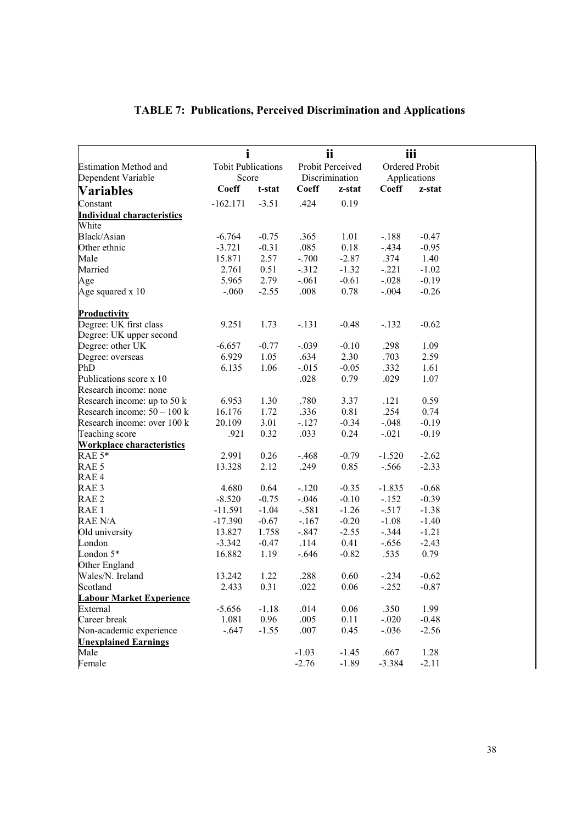|                                            | i                         |         |         | ii               |          | iii            |
|--------------------------------------------|---------------------------|---------|---------|------------------|----------|----------------|
| <b>Estimation Method and</b>               | <b>Tobit Publications</b> |         |         | Probit Perceived |          | Ordered Probit |
| Dependent Variable                         | Score                     |         |         | Discrimination   |          | Applications   |
| <b>Variables</b>                           | Coeff                     | t-stat  | Coeff   | z-stat           | Coeff    | z-stat         |
| Constant                                   |                           | $-3.51$ | .424    | 0.19             |          |                |
|                                            | $-162.171$                |         |         |                  |          |                |
| <b>Individual characteristics</b><br>White |                           |         |         |                  |          |                |
| Black/Asian                                | $-6.764$                  | $-0.75$ | .365    | 1.01             | $-.188$  | $-0.47$        |
| Other ethnic                               | $-3.721$                  | $-0.31$ | .085    | 0.18             | $-.434$  | $-0.95$        |
| Male                                       | 15.871                    | 2.57    | $-.700$ | $-2.87$          | .374     | 1.40           |
| Married                                    | 2.761                     | 0.51    | $-.312$ | $-1.32$          | $-.221$  | $-1.02$        |
| Age                                        | 5.965                     | 2.79    | $-.061$ | $-0.61$          | $-.028$  | $-0.19$        |
| Age squared x 10                           | $-.060$                   | $-2.55$ | .008    | 0.78             | $-.004$  | $-0.26$        |
|                                            |                           |         |         |                  |          |                |
| <b>Productivity</b>                        |                           |         |         |                  |          |                |
| Degree: UK first class                     | 9.251                     | 1.73    | $-.131$ | $-0.48$          | $-.132$  | $-0.62$        |
| Degree: UK upper second                    |                           |         |         |                  |          |                |
| Degree: other UK                           | $-6.657$                  | $-0.77$ | $-.039$ | $-0.10$          | .298     | 1.09           |
| Degree: overseas                           | 6.929                     | 1.05    | .634    | 2.30             | .703     | 2.59           |
| PhD                                        | 6.135                     | 1.06    | $-.015$ | $-0.05$          | .332     | 1.61           |
| Publications score x 10                    |                           |         | .028    | 0.79             | .029     | 1.07           |
| Research income: none                      |                           |         |         |                  |          |                |
| Research income: up to 50 k                | 6.953                     | 1.30    | .780    | 3.37             | .121     | 0.59           |
| Research income: $50 - 100$ k              | 16.176                    | 1.72    | .336    | 0.81             | .254     | 0.74           |
| Research income: over 100 k                | 20.109                    | 3.01    | $-.127$ | $-0.34$          | $-.048$  | $-0.19$        |
| Teaching score                             | .921                      | 0.32    | .033    | 0.24             | $-.021$  | $-0.19$        |
| <b>Workplace characteristics</b>           |                           |         |         |                  |          |                |
| $RAE 5*$                                   | 2.991                     | 0.26    | $-.468$ | $-0.79$          | $-1.520$ | $-2.62$        |
| RAE <sub>5</sub>                           | 13.328                    | 2.12    | .249    | 0.85             | $-.566$  | $-2.33$        |
| RAE 4                                      |                           |         |         |                  |          |                |
| RAE <sub>3</sub>                           | 4.680                     | 0.64    | $-.120$ | $-0.35$          | $-1.835$ | $-0.68$        |
| RAE <sub>2</sub>                           | $-8.520$                  | $-0.75$ | $-.046$ | $-0.10$          | $-152$   | $-0.39$        |
| RAE <sub>1</sub>                           | $-11.591$                 | $-1.04$ | $-.581$ | $-1.26$          | $-.517$  | $-1.38$        |
| RAE N/A                                    | $-17.390$                 | $-0.67$ | $-.167$ | $-0.20$          | $-1.08$  | $-1.40$        |
| Old university                             | 13.827                    | 1.758   | $-.847$ | $-2.55$          | $-.344$  | $-1.21$        |
| London                                     | $-3.342$                  | $-0.47$ | .114    | 0.41             | $-.656$  | $-2.43$        |
| London 5*                                  | 16.882                    | 1.19    | $-.646$ | $-0.82$          | .535     | 0.79           |
| Other England                              |                           |         |         |                  |          |                |
| Wales/N. Ireland                           | 13.242                    | 1.22    | .288    | 0.60             | $-.234$  | $-0.62$        |
| Scotland                                   | 2.433                     | 0.31    | .022    | 0.06             | $-.252$  | $-0.87$        |
| <b>Labour Market Experience</b>            |                           |         |         |                  |          |                |
| External                                   | $-5.656$                  | $-1.18$ | .014    | 0.06             | .350     | 1.99           |
| Career break                               | 1.081                     | 0.96    | .005    | 0.11             | $-.020$  | $-0.48$        |
| Non-academic experience                    | $-.647$                   | $-1.55$ | .007    | 0.45             | $-.036$  | $-2.56$        |
| <b>Unexplained Earnings</b>                |                           |         |         |                  |          |                |
| Male                                       |                           |         | $-1.03$ | $-1.45$          | .667     | 1.28           |
| Female                                     |                           |         | $-2.76$ | $-1.89$          | $-3.384$ | $-2.11$        |

## **TABLE 7: Publications, Perceived Discrimination and Applications**